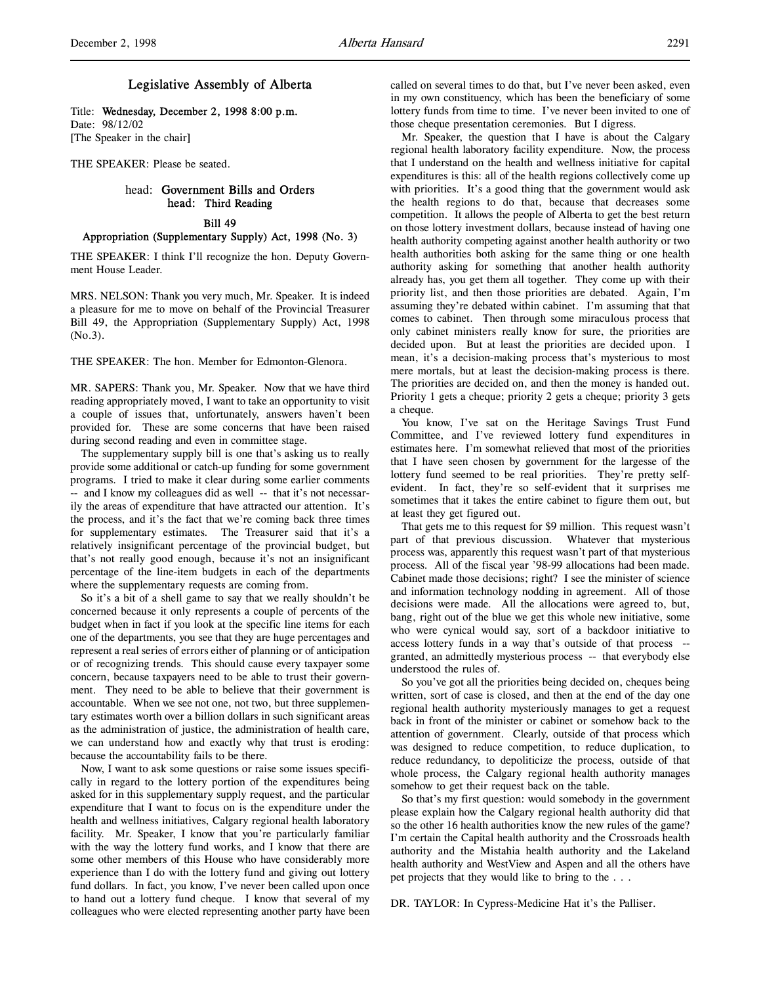## Legislative Assembly of Alberta

Title: Wednesday, December 2, 1998 8:00 p.m. Date: 98/12/02 [The Speaker in the chair]

THE SPEAKER: Please be seated.

## head: Government Bills and Orders head: Third Reading

Bill 49

#### Appropriation (Supplementary Supply) Act, 1998 (No. 3)

THE SPEAKER: I think I'll recognize the hon. Deputy Government House Leader.

MRS. NELSON: Thank you very much, Mr. Speaker. It is indeed a pleasure for me to move on behalf of the Provincial Treasurer Bill 49, the Appropriation (Supplementary Supply) Act, 1998 (No.3).

THE SPEAKER: The hon. Member for Edmonton-Glenora.

MR. SAPERS: Thank you, Mr. Speaker. Now that we have third reading appropriately moved, I want to take an opportunity to visit a couple of issues that, unfortunately, answers haven't been provided for. These are some concerns that have been raised during second reading and even in committee stage.

The supplementary supply bill is one that's asking us to really provide some additional or catch-up funding for some government programs. I tried to make it clear during some earlier comments -- and I know my colleagues did as well -- that it's not necessarily the areas of expenditure that have attracted our attention. It's the process, and it's the fact that we're coming back three times for supplementary estimates. The Treasurer said that it's a relatively insignificant percentage of the provincial budget, but that's not really good enough, because it's not an insignificant percentage of the line-item budgets in each of the departments where the supplementary requests are coming from.

So it's a bit of a shell game to say that we really shouldn't be concerned because it only represents a couple of percents of the budget when in fact if you look at the specific line items for each one of the departments, you see that they are huge percentages and represent a real series of errors either of planning or of anticipation or of recognizing trends. This should cause every taxpayer some concern, because taxpayers need to be able to trust their government. They need to be able to believe that their government is accountable. When we see not one, not two, but three supplementary estimates worth over a billion dollars in such significant areas as the administration of justice, the administration of health care, we can understand how and exactly why that trust is eroding: because the accountability fails to be there.

Now, I want to ask some questions or raise some issues specifically in regard to the lottery portion of the expenditures being asked for in this supplementary supply request, and the particular expenditure that I want to focus on is the expenditure under the health and wellness initiatives, Calgary regional health laboratory facility. Mr. Speaker, I know that you're particularly familiar with the way the lottery fund works, and I know that there are some other members of this House who have considerably more experience than I do with the lottery fund and giving out lottery fund dollars. In fact, you know, I've never been called upon once to hand out a lottery fund cheque. I know that several of my colleagues who were elected representing another party have been

called on several times to do that, but I've never been asked, even in my own constituency, which has been the beneficiary of some lottery funds from time to time. I've never been invited to one of those cheque presentation ceremonies. But I digress.

Mr. Speaker, the question that I have is about the Calgary regional health laboratory facility expenditure. Now, the process that I understand on the health and wellness initiative for capital expenditures is this: all of the health regions collectively come up with priorities. It's a good thing that the government would ask the health regions to do that, because that decreases some competition. It allows the people of Alberta to get the best return on those lottery investment dollars, because instead of having one health authority competing against another health authority or two health authorities both asking for the same thing or one health authority asking for something that another health authority already has, you get them all together. They come up with their priority list, and then those priorities are debated. Again, I'm assuming they're debated within cabinet. I'm assuming that that comes to cabinet. Then through some miraculous process that only cabinet ministers really know for sure, the priorities are decided upon. But at least the priorities are decided upon. I mean, it's a decision-making process that's mysterious to most mere mortals, but at least the decision-making process is there. The priorities are decided on, and then the money is handed out. Priority 1 gets a cheque; priority 2 gets a cheque; priority 3 gets a cheque.

You know, I've sat on the Heritage Savings Trust Fund Committee, and I've reviewed lottery fund expenditures in estimates here. I'm somewhat relieved that most of the priorities that I have seen chosen by government for the largesse of the lottery fund seemed to be real priorities. They're pretty selfevident. In fact, they're so self-evident that it surprises me sometimes that it takes the entire cabinet to figure them out, but at least they get figured out.

That gets me to this request for \$9 million. This request wasn't part of that previous discussion. Whatever that mysterious process was, apparently this request wasn't part of that mysterious process. All of the fiscal year '98-99 allocations had been made. Cabinet made those decisions; right? I see the minister of science and information technology nodding in agreement. All of those decisions were made. All the allocations were agreed to, but, bang, right out of the blue we get this whole new initiative, some who were cynical would say, sort of a backdoor initiative to access lottery funds in a way that's outside of that process - granted, an admittedly mysterious process -- that everybody else understood the rules of.

So you've got all the priorities being decided on, cheques being written, sort of case is closed, and then at the end of the day one regional health authority mysteriously manages to get a request back in front of the minister or cabinet or somehow back to the attention of government. Clearly, outside of that process which was designed to reduce competition, to reduce duplication, to reduce redundancy, to depoliticize the process, outside of that whole process, the Calgary regional health authority manages somehow to get their request back on the table.

So that's my first question: would somebody in the government please explain how the Calgary regional health authority did that so the other 16 health authorities know the new rules of the game? I'm certain the Capital health authority and the Crossroads health authority and the Mistahia health authority and the Lakeland health authority and WestView and Aspen and all the others have pet projects that they would like to bring to the . . .

DR. TAYLOR: In Cypress-Medicine Hat it's the Palliser.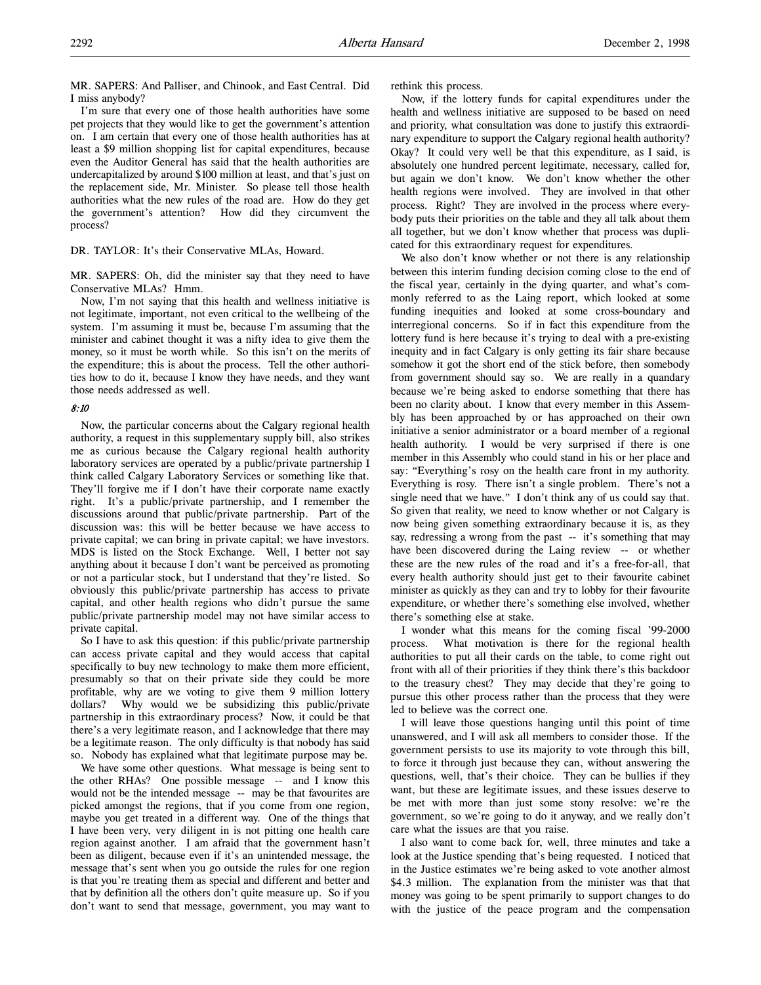MR. SAPERS: And Palliser, and Chinook, and East Central. Did I miss anybody?

I'm sure that every one of those health authorities have some pet projects that they would like to get the government's attention on. I am certain that every one of those health authorities has at least a \$9 million shopping list for capital expenditures, because even the Auditor General has said that the health authorities are undercapitalized by around \$100 million at least, and that's just on the replacement side, Mr. Minister. So please tell those health authorities what the new rules of the road are. How do they get the government's attention? How did they circumvent the process?

DR. TAYLOR: It's their Conservative MLAs, Howard.

MR. SAPERS: Oh, did the minister say that they need to have Conservative MLAs? Hmm.

Now, I'm not saying that this health and wellness initiative is not legitimate, important, not even critical to the wellbeing of the system. I'm assuming it must be, because I'm assuming that the minister and cabinet thought it was a nifty idea to give them the money, so it must be worth while. So this isn't on the merits of the expenditure; this is about the process. Tell the other authorities how to do it, because I know they have needs, and they want those needs addressed as well.

### 8:10

Now, the particular concerns about the Calgary regional health authority, a request in this supplementary supply bill, also strikes me as curious because the Calgary regional health authority laboratory services are operated by a public/private partnership I think called Calgary Laboratory Services or something like that. They'll forgive me if I don't have their corporate name exactly right. It's a public/private partnership, and I remember the discussions around that public/private partnership. Part of the discussion was: this will be better because we have access to private capital; we can bring in private capital; we have investors. MDS is listed on the Stock Exchange. Well, I better not say anything about it because I don't want be perceived as promoting or not a particular stock, but I understand that they're listed. So obviously this public/private partnership has access to private capital, and other health regions who didn't pursue the same public/private partnership model may not have similar access to private capital.

So I have to ask this question: if this public/private partnership can access private capital and they would access that capital specifically to buy new technology to make them more efficient, presumably so that on their private side they could be more profitable, why are we voting to give them 9 million lottery dollars? Why would we be subsidizing this public/private partnership in this extraordinary process? Now, it could be that there's a very legitimate reason, and I acknowledge that there may be a legitimate reason. The only difficulty is that nobody has said so. Nobody has explained what that legitimate purpose may be.

We have some other questions. What message is being sent to the other RHAs? One possible message -- and I know this would not be the intended message -- may be that favourites are picked amongst the regions, that if you come from one region, maybe you get treated in a different way. One of the things that I have been very, very diligent in is not pitting one health care region against another. I am afraid that the government hasn't been as diligent, because even if it's an unintended message, the message that's sent when you go outside the rules for one region is that you're treating them as special and different and better and that by definition all the others don't quite measure up. So if you don't want to send that message, government, you may want to

rethink this process.

Now, if the lottery funds for capital expenditures under the health and wellness initiative are supposed to be based on need and priority, what consultation was done to justify this extraordinary expenditure to support the Calgary regional health authority? Okay? It could very well be that this expenditure, as I said, is absolutely one hundred percent legitimate, necessary, called for, but again we don't know. We don't know whether the other health regions were involved. They are involved in that other process. Right? They are involved in the process where everybody puts their priorities on the table and they all talk about them all together, but we don't know whether that process was duplicated for this extraordinary request for expenditures.

We also don't know whether or not there is any relationship between this interim funding decision coming close to the end of the fiscal year, certainly in the dying quarter, and what's commonly referred to as the Laing report, which looked at some funding inequities and looked at some cross-boundary and interregional concerns. So if in fact this expenditure from the lottery fund is here because it's trying to deal with a pre-existing inequity and in fact Calgary is only getting its fair share because somehow it got the short end of the stick before, then somebody from government should say so. We are really in a quandary because we're being asked to endorse something that there has been no clarity about. I know that every member in this Assembly has been approached by or has approached on their own initiative a senior administrator or a board member of a regional health authority. I would be very surprised if there is one member in this Assembly who could stand in his or her place and say: "Everything's rosy on the health care front in my authority. Everything is rosy. There isn't a single problem. There's not a single need that we have." I don't think any of us could say that. So given that reality, we need to know whether or not Calgary is now being given something extraordinary because it is, as they say, redressing a wrong from the past -- it's something that may have been discovered during the Laing review -- or whether these are the new rules of the road and it's a free-for-all, that every health authority should just get to their favourite cabinet minister as quickly as they can and try to lobby for their favourite expenditure, or whether there's something else involved, whether there's something else at stake.

I wonder what this means for the coming fiscal '99-2000 process. What motivation is there for the regional health authorities to put all their cards on the table, to come right out front with all of their priorities if they think there's this backdoor to the treasury chest? They may decide that they're going to pursue this other process rather than the process that they were led to believe was the correct one.

I will leave those questions hanging until this point of time unanswered, and I will ask all members to consider those. If the government persists to use its majority to vote through this bill, to force it through just because they can, without answering the questions, well, that's their choice. They can be bullies if they want, but these are legitimate issues, and these issues deserve to be met with more than just some stony resolve: we're the government, so we're going to do it anyway, and we really don't care what the issues are that you raise.

I also want to come back for, well, three minutes and take a look at the Justice spending that's being requested. I noticed that in the Justice estimates we're being asked to vote another almost \$4.3 million. The explanation from the minister was that that money was going to be spent primarily to support changes to do with the justice of the peace program and the compensation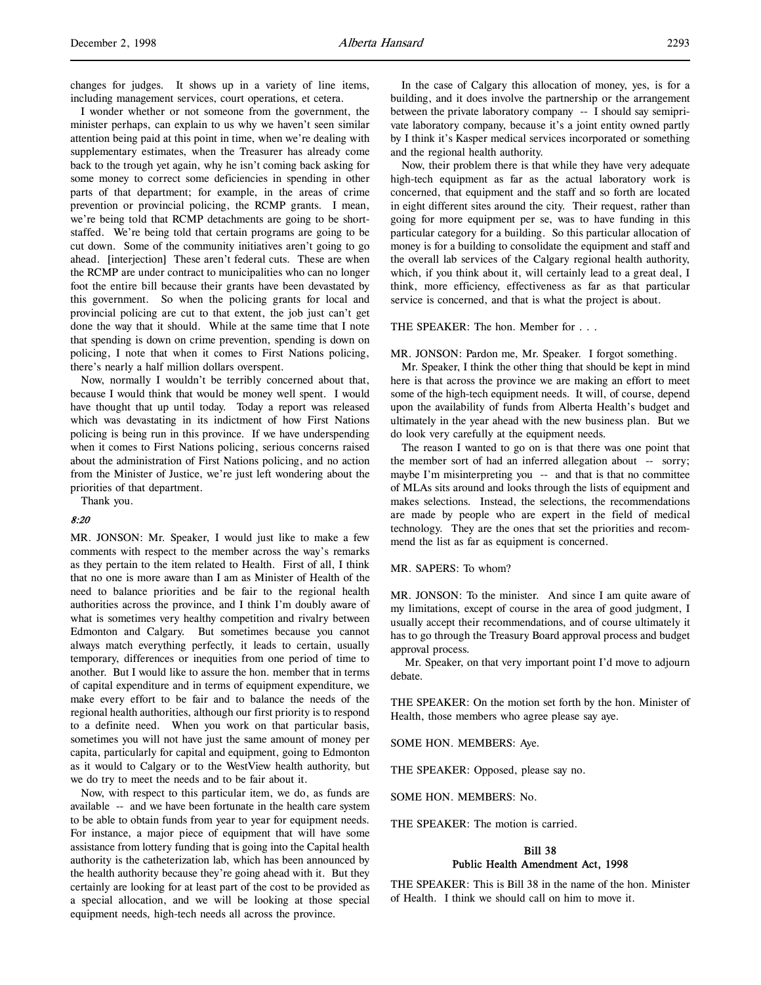changes for judges. It shows up in a variety of line items, including management services, court operations, et cetera.

I wonder whether or not someone from the government, the minister perhaps, can explain to us why we haven't seen similar attention being paid at this point in time, when we're dealing with supplementary estimates, when the Treasurer has already come back to the trough yet again, why he isn't coming back asking for some money to correct some deficiencies in spending in other parts of that department; for example, in the areas of crime prevention or provincial policing, the RCMP grants. I mean, we're being told that RCMP detachments are going to be shortstaffed. We're being told that certain programs are going to be cut down. Some of the community initiatives aren't going to go ahead. [interjection] These aren't federal cuts. These are when the RCMP are under contract to municipalities who can no longer foot the entire bill because their grants have been devastated by this government. So when the policing grants for local and provincial policing are cut to that extent, the job just can't get done the way that it should. While at the same time that I note that spending is down on crime prevention, spending is down on policing, I note that when it comes to First Nations policing, there's nearly a half million dollars overspent.

Now, normally I wouldn't be terribly concerned about that, because I would think that would be money well spent. I would have thought that up until today. Today a report was released which was devastating in its indictment of how First Nations policing is being run in this province. If we have underspending when it comes to First Nations policing, serious concerns raised about the administration of First Nations policing, and no action from the Minister of Justice, we're just left wondering about the priorities of that department.

Thank you.

### 8:20

MR. JONSON: Mr. Speaker, I would just like to make a few comments with respect to the member across the way's remarks as they pertain to the item related to Health. First of all, I think that no one is more aware than I am as Minister of Health of the need to balance priorities and be fair to the regional health authorities across the province, and I think I'm doubly aware of what is sometimes very healthy competition and rivalry between Edmonton and Calgary. But sometimes because you cannot always match everything perfectly, it leads to certain, usually temporary, differences or inequities from one period of time to another. But I would like to assure the hon. member that in terms of capital expenditure and in terms of equipment expenditure, we make every effort to be fair and to balance the needs of the regional health authorities, although our first priority is to respond to a definite need. When you work on that particular basis, sometimes you will not have just the same amount of money per capita, particularly for capital and equipment, going to Edmonton as it would to Calgary or to the WestView health authority, but we do try to meet the needs and to be fair about it.

Now, with respect to this particular item, we do, as funds are available -- and we have been fortunate in the health care system to be able to obtain funds from year to year for equipment needs. For instance, a major piece of equipment that will have some assistance from lottery funding that is going into the Capital health authority is the catheterization lab, which has been announced by the health authority because they're going ahead with it. But they certainly are looking for at least part of the cost to be provided as a special allocation, and we will be looking at those special equipment needs, high-tech needs all across the province.

In the case of Calgary this allocation of money, yes, is for a building, and it does involve the partnership or the arrangement between the private laboratory company -- I should say semiprivate laboratory company, because it's a joint entity owned partly by I think it's Kasper medical services incorporated or something and the regional health authority.

Now, their problem there is that while they have very adequate high-tech equipment as far as the actual laboratory work is concerned, that equipment and the staff and so forth are located in eight different sites around the city. Their request, rather than going for more equipment per se, was to have funding in this particular category for a building. So this particular allocation of money is for a building to consolidate the equipment and staff and the overall lab services of the Calgary regional health authority, which, if you think about it, will certainly lead to a great deal, I think, more efficiency, effectiveness as far as that particular service is concerned, and that is what the project is about.

#### THE SPEAKER: The hon. Member for . . .

MR. JONSON: Pardon me, Mr. Speaker. I forgot something.

Mr. Speaker, I think the other thing that should be kept in mind here is that across the province we are making an effort to meet some of the high-tech equipment needs. It will, of course, depend upon the availability of funds from Alberta Health's budget and ultimately in the year ahead with the new business plan. But we do look very carefully at the equipment needs.

The reason I wanted to go on is that there was one point that the member sort of had an inferred allegation about -- sorry; maybe I'm misinterpreting you -- and that is that no committee of MLAs sits around and looks through the lists of equipment and makes selections. Instead, the selections, the recommendations are made by people who are expert in the field of medical technology. They are the ones that set the priorities and recommend the list as far as equipment is concerned.

MR. SAPERS: To whom?

MR. JONSON: To the minister. And since I am quite aware of my limitations, except of course in the area of good judgment, I usually accept their recommendations, and of course ultimately it has to go through the Treasury Board approval process and budget approval process.

 Mr. Speaker, on that very important point I'd move to adjourn debate.

THE SPEAKER: On the motion set forth by the hon. Minister of Health, those members who agree please say aye.

SOME HON. MEMBERS: Aye.

THE SPEAKER: Opposed, please say no.

SOME HON. MEMBERS: No.

THE SPEAKER: The motion is carried.

## Bill 38 Public Health Amendment Act, 1998

THE SPEAKER: This is Bill 38 in the name of the hon. Minister of Health. I think we should call on him to move it.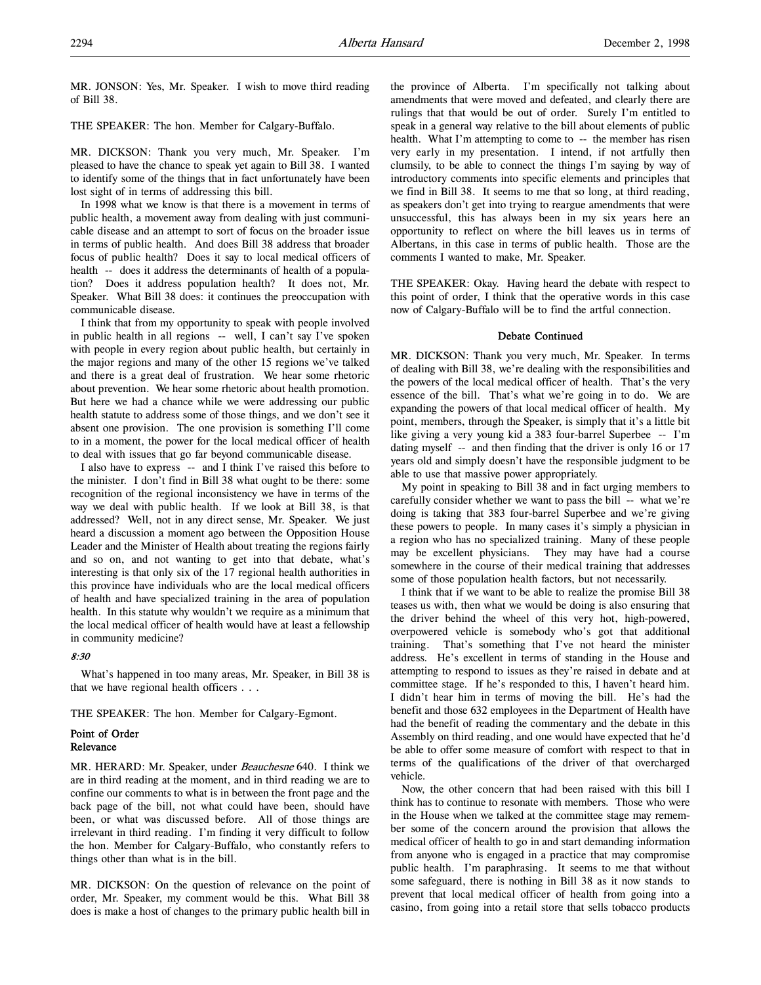MR. JONSON: Yes, Mr. Speaker. I wish to move third reading of Bill 38.

THE SPEAKER: The hon. Member for Calgary-Buffalo.

MR. DICKSON: Thank you very much, Mr. Speaker. I'm pleased to have the chance to speak yet again to Bill 38. I wanted to identify some of the things that in fact unfortunately have been lost sight of in terms of addressing this bill.

In 1998 what we know is that there is a movement in terms of public health, a movement away from dealing with just communicable disease and an attempt to sort of focus on the broader issue in terms of public health. And does Bill 38 address that broader focus of public health? Does it say to local medical officers of health -- does it address the determinants of health of a population? Does it address population health? It does not, Mr. Speaker. What Bill 38 does: it continues the preoccupation with communicable disease.

I think that from my opportunity to speak with people involved in public health in all regions -- well, I can't say I've spoken with people in every region about public health, but certainly in the major regions and many of the other 15 regions we've talked and there is a great deal of frustration. We hear some rhetoric about prevention. We hear some rhetoric about health promotion. But here we had a chance while we were addressing our public health statute to address some of those things, and we don't see it absent one provision. The one provision is something I'll come to in a moment, the power for the local medical officer of health to deal with issues that go far beyond communicable disease.

I also have to express -- and I think I've raised this before to the minister. I don't find in Bill 38 what ought to be there: some recognition of the regional inconsistency we have in terms of the way we deal with public health. If we look at Bill 38, is that addressed? Well, not in any direct sense, Mr. Speaker. We just heard a discussion a moment ago between the Opposition House Leader and the Minister of Health about treating the regions fairly and so on, and not wanting to get into that debate, what's interesting is that only six of the 17 regional health authorities in this province have individuals who are the local medical officers of health and have specialized training in the area of population health. In this statute why wouldn't we require as a minimum that the local medical officer of health would have at least a fellowship in community medicine?

## 8:30

What's happened in too many areas, Mr. Speaker, in Bill 38 is that we have regional health officers . . .

THE SPEAKER: The hon. Member for Calgary-Egmont.

## Point of Order Relevance

MR. HERARD: Mr. Speaker, under Beauchesne 640. I think we are in third reading at the moment, and in third reading we are to confine our comments to what is in between the front page and the back page of the bill, not what could have been, should have been, or what was discussed before. All of those things are irrelevant in third reading. I'm finding it very difficult to follow the hon. Member for Calgary-Buffalo, who constantly refers to things other than what is in the bill.

MR. DICKSON: On the question of relevance on the point of order, Mr. Speaker, my comment would be this. What Bill 38 does is make a host of changes to the primary public health bill in

the province of Alberta. I'm specifically not talking about amendments that were moved and defeated, and clearly there are rulings that that would be out of order. Surely I'm entitled to speak in a general way relative to the bill about elements of public health. What I'm attempting to come to -- the member has risen very early in my presentation. I intend, if not artfully then clumsily, to be able to connect the things I'm saying by way of introductory comments into specific elements and principles that we find in Bill 38. It seems to me that so long, at third reading, as speakers don't get into trying to reargue amendments that were unsuccessful, this has always been in my six years here an opportunity to reflect on where the bill leaves us in terms of Albertans, in this case in terms of public health. Those are the comments I wanted to make, Mr. Speaker.

THE SPEAKER: Okay. Having heard the debate with respect to this point of order, I think that the operative words in this case now of Calgary-Buffalo will be to find the artful connection.

### Debate Continued

MR. DICKSON: Thank you very much, Mr. Speaker. In terms of dealing with Bill 38, we're dealing with the responsibilities and the powers of the local medical officer of health. That's the very essence of the bill. That's what we're going in to do. We are expanding the powers of that local medical officer of health. My point, members, through the Speaker, is simply that it's a little bit like giving a very young kid a 383 four-barrel Superbee -- I'm dating myself -- and then finding that the driver is only 16 or 17 years old and simply doesn't have the responsible judgment to be able to use that massive power appropriately.

My point in speaking to Bill 38 and in fact urging members to carefully consider whether we want to pass the bill -- what we're doing is taking that 383 four-barrel Superbee and we're giving these powers to people. In many cases it's simply a physician in a region who has no specialized training. Many of these people may be excellent physicians. They may have had a course somewhere in the course of their medical training that addresses some of those population health factors, but not necessarily.

I think that if we want to be able to realize the promise Bill 38 teases us with, then what we would be doing is also ensuring that the driver behind the wheel of this very hot, high-powered, overpowered vehicle is somebody who's got that additional training. That's something that I've not heard the minister address. He's excellent in terms of standing in the House and attempting to respond to issues as they're raised in debate and at committee stage. If he's responded to this, I haven't heard him. I didn't hear him in terms of moving the bill. He's had the benefit and those 632 employees in the Department of Health have had the benefit of reading the commentary and the debate in this Assembly on third reading, and one would have expected that he'd be able to offer some measure of comfort with respect to that in terms of the qualifications of the driver of that overcharged vehicle.

Now, the other concern that had been raised with this bill I think has to continue to resonate with members. Those who were in the House when we talked at the committee stage may remember some of the concern around the provision that allows the medical officer of health to go in and start demanding information from anyone who is engaged in a practice that may compromise public health. I'm paraphrasing. It seems to me that without some safeguard, there is nothing in Bill 38 as it now stands to prevent that local medical officer of health from going into a casino, from going into a retail store that sells tobacco products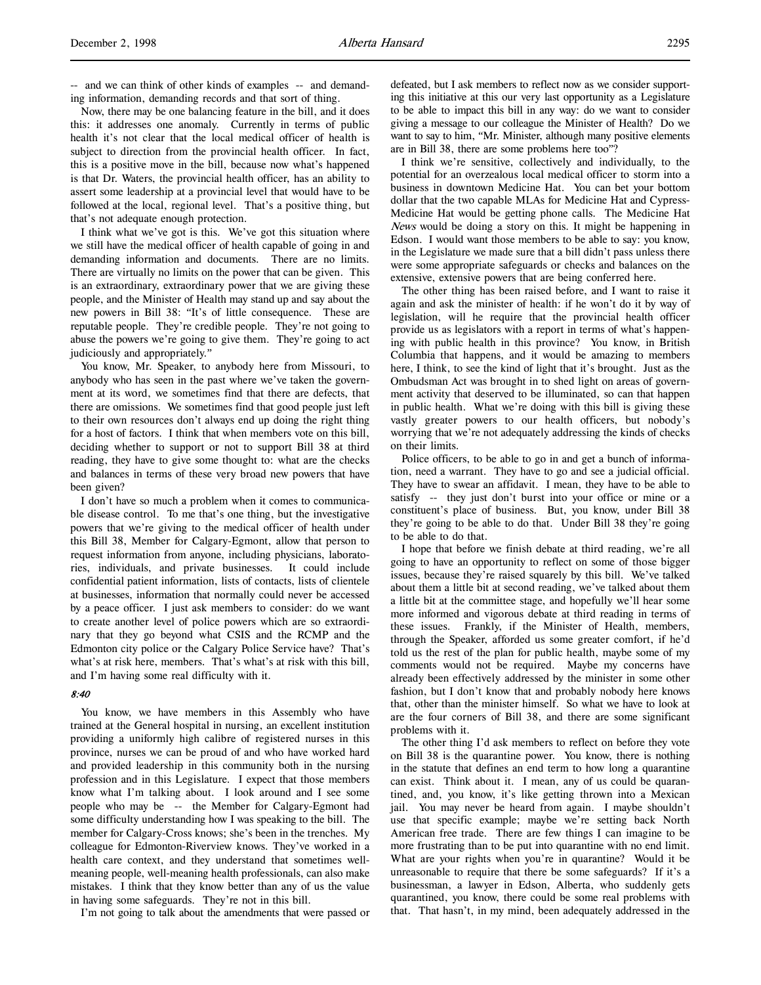-- and we can think of other kinds of examples -- and demanding information, demanding records and that sort of thing.

Now, there may be one balancing feature in the bill, and it does this: it addresses one anomaly. Currently in terms of public health it's not clear that the local medical officer of health is subject to direction from the provincial health officer. In fact, this is a positive move in the bill, because now what's happened is that Dr. Waters, the provincial health officer, has an ability to assert some leadership at a provincial level that would have to be followed at the local, regional level. That's a positive thing, but that's not adequate enough protection.

I think what we've got is this. We've got this situation where we still have the medical officer of health capable of going in and demanding information and documents. There are no limits. There are virtually no limits on the power that can be given. This is an extraordinary, extraordinary power that we are giving these people, and the Minister of Health may stand up and say about the new powers in Bill 38: "It's of little consequence. These are reputable people. They're credible people. They're not going to abuse the powers we're going to give them. They're going to act judiciously and appropriately."

You know, Mr. Speaker, to anybody here from Missouri, to anybody who has seen in the past where we've taken the government at its word, we sometimes find that there are defects, that there are omissions. We sometimes find that good people just left to their own resources don't always end up doing the right thing for a host of factors. I think that when members vote on this bill, deciding whether to support or not to support Bill 38 at third reading, they have to give some thought to: what are the checks and balances in terms of these very broad new powers that have been given?

I don't have so much a problem when it comes to communicable disease control. To me that's one thing, but the investigative powers that we're giving to the medical officer of health under this Bill 38, Member for Calgary-Egmont, allow that person to request information from anyone, including physicians, laboratories, individuals, and private businesses. It could include confidential patient information, lists of contacts, lists of clientele at businesses, information that normally could never be accessed by a peace officer. I just ask members to consider: do we want to create another level of police powers which are so extraordinary that they go beyond what CSIS and the RCMP and the Edmonton city police or the Calgary Police Service have? That's what's at risk here, members. That's what's at risk with this bill, and I'm having some real difficulty with it.

#### 8:40

You know, we have members in this Assembly who have trained at the General hospital in nursing, an excellent institution providing a uniformly high calibre of registered nurses in this province, nurses we can be proud of and who have worked hard and provided leadership in this community both in the nursing profession and in this Legislature. I expect that those members know what I'm talking about. I look around and I see some people who may be -- the Member for Calgary-Egmont had some difficulty understanding how I was speaking to the bill. The member for Calgary-Cross knows; she's been in the trenches. My colleague for Edmonton-Riverview knows. They've worked in a health care context, and they understand that sometimes wellmeaning people, well-meaning health professionals, can also make mistakes. I think that they know better than any of us the value in having some safeguards. They're not in this bill.

I'm not going to talk about the amendments that were passed or

defeated, but I ask members to reflect now as we consider supporting this initiative at this our very last opportunity as a Legislature to be able to impact this bill in any way: do we want to consider giving a message to our colleague the Minister of Health? Do we want to say to him, "Mr. Minister, although many positive elements are in Bill 38, there are some problems here too"?

I think we're sensitive, collectively and individually, to the potential for an overzealous local medical officer to storm into a business in downtown Medicine Hat. You can bet your bottom dollar that the two capable MLAs for Medicine Hat and Cypress-Medicine Hat would be getting phone calls. The Medicine Hat News would be doing a story on this. It might be happening in Edson. I would want those members to be able to say: you know, in the Legislature we made sure that a bill didn't pass unless there were some appropriate safeguards or checks and balances on the extensive, extensive powers that are being conferred here.

The other thing has been raised before, and I want to raise it again and ask the minister of health: if he won't do it by way of legislation, will he require that the provincial health officer provide us as legislators with a report in terms of what's happening with public health in this province? You know, in British Columbia that happens, and it would be amazing to members here, I think, to see the kind of light that it's brought. Just as the Ombudsman Act was brought in to shed light on areas of government activity that deserved to be illuminated, so can that happen in public health. What we're doing with this bill is giving these vastly greater powers to our health officers, but nobody's worrying that we're not adequately addressing the kinds of checks on their limits.

Police officers, to be able to go in and get a bunch of information, need a warrant. They have to go and see a judicial official. They have to swear an affidavit. I mean, they have to be able to satisfy -- they just don't burst into your office or mine or a constituent's place of business. But, you know, under Bill 38 they're going to be able to do that. Under Bill 38 they're going to be able to do that.

I hope that before we finish debate at third reading, we're all going to have an opportunity to reflect on some of those bigger issues, because they're raised squarely by this bill. We've talked about them a little bit at second reading, we've talked about them a little bit at the committee stage, and hopefully we'll hear some more informed and vigorous debate at third reading in terms of these issues. Frankly, if the Minister of Health, members, through the Speaker, afforded us some greater comfort, if he'd told us the rest of the plan for public health, maybe some of my comments would not be required. Maybe my concerns have already been effectively addressed by the minister in some other fashion, but I don't know that and probably nobody here knows that, other than the minister himself. So what we have to look at are the four corners of Bill 38, and there are some significant problems with it.

The other thing I'd ask members to reflect on before they vote on Bill 38 is the quarantine power. You know, there is nothing in the statute that defines an end term to how long a quarantine can exist. Think about it. I mean, any of us could be quarantined, and, you know, it's like getting thrown into a Mexican jail. You may never be heard from again. I maybe shouldn't use that specific example; maybe we're setting back North American free trade. There are few things I can imagine to be more frustrating than to be put into quarantine with no end limit. What are your rights when you're in quarantine? Would it be unreasonable to require that there be some safeguards? If it's a businessman, a lawyer in Edson, Alberta, who suddenly gets quarantined, you know, there could be some real problems with that. That hasn't, in my mind, been adequately addressed in the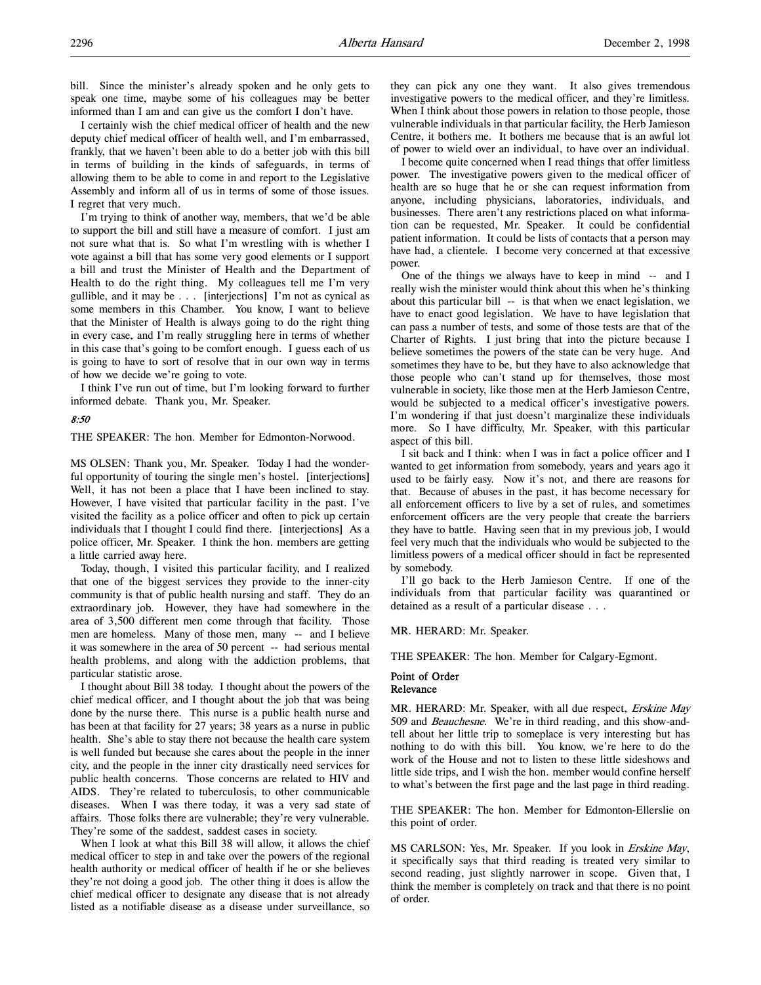bill. Since the minister's already spoken and he only gets to speak one time, maybe some of his colleagues may be better informed than I am and can give us the comfort I don't have.

I certainly wish the chief medical officer of health and the new deputy chief medical officer of health well, and I'm embarrassed, frankly, that we haven't been able to do a better job with this bill in terms of building in the kinds of safeguards, in terms of allowing them to be able to come in and report to the Legislative Assembly and inform all of us in terms of some of those issues. I regret that very much.

I'm trying to think of another way, members, that we'd be able to support the bill and still have a measure of comfort. I just am not sure what that is. So what I'm wrestling with is whether I vote against a bill that has some very good elements or I support a bill and trust the Minister of Health and the Department of Health to do the right thing. My colleagues tell me I'm very gullible, and it may be . . . [interjections] I'm not as cynical as some members in this Chamber. You know, I want to believe that the Minister of Health is always going to do the right thing in every case, and I'm really struggling here in terms of whether in this case that's going to be comfort enough. I guess each of us is going to have to sort of resolve that in our own way in terms of how we decide we're going to vote.

I think I've run out of time, but I'm looking forward to further informed debate. Thank you, Mr. Speaker.

### 8:50

THE SPEAKER: The hon. Member for Edmonton-Norwood.

MS OLSEN: Thank you, Mr. Speaker. Today I had the wonderful opportunity of touring the single men's hostel. [interjections] Well, it has not been a place that I have been inclined to stay. However, I have visited that particular facility in the past. I've visited the facility as a police officer and often to pick up certain individuals that I thought I could find there. [interjections] As a police officer, Mr. Speaker. I think the hon. members are getting a little carried away here.

Today, though, I visited this particular facility, and I realized that one of the biggest services they provide to the inner-city community is that of public health nursing and staff. They do an extraordinary job. However, they have had somewhere in the area of 3,500 different men come through that facility. Those men are homeless. Many of those men, many -- and I believe it was somewhere in the area of 50 percent -- had serious mental health problems, and along with the addiction problems, that particular statistic arose.

I thought about Bill 38 today. I thought about the powers of the chief medical officer, and I thought about the job that was being done by the nurse there. This nurse is a public health nurse and has been at that facility for 27 years; 38 years as a nurse in public health. She's able to stay there not because the health care system is well funded but because she cares about the people in the inner city, and the people in the inner city drastically need services for public health concerns. Those concerns are related to HIV and AIDS. They're related to tuberculosis, to other communicable diseases. When I was there today, it was a very sad state of affairs. Those folks there are vulnerable; they're very vulnerable. They're some of the saddest, saddest cases in society.

When I look at what this Bill 38 will allow, it allows the chief medical officer to step in and take over the powers of the regional health authority or medical officer of health if he or she believes they're not doing a good job. The other thing it does is allow the chief medical officer to designate any disease that is not already listed as a notifiable disease as a disease under surveillance, so

they can pick any one they want. It also gives tremendous investigative powers to the medical officer, and they're limitless. When I think about those powers in relation to those people, those vulnerable individuals in that particular facility, the Herb Jamieson Centre, it bothers me. It bothers me because that is an awful lot of power to wield over an individual, to have over an individual.

I become quite concerned when I read things that offer limitless power. The investigative powers given to the medical officer of health are so huge that he or she can request information from anyone, including physicians, laboratories, individuals, and businesses. There aren't any restrictions placed on what information can be requested, Mr. Speaker. It could be confidential patient information. It could be lists of contacts that a person may have had, a clientele. I become very concerned at that excessive power.

One of the things we always have to keep in mind -- and I really wish the minister would think about this when he's thinking about this particular bill -- is that when we enact legislation, we have to enact good legislation. We have to have legislation that can pass a number of tests, and some of those tests are that of the Charter of Rights. I just bring that into the picture because I believe sometimes the powers of the state can be very huge. And sometimes they have to be, but they have to also acknowledge that those people who can't stand up for themselves, those most vulnerable in society, like those men at the Herb Jamieson Centre, would be subjected to a medical officer's investigative powers. I'm wondering if that just doesn't marginalize these individuals more. So I have difficulty, Mr. Speaker, with this particular aspect of this bill.

I sit back and I think: when I was in fact a police officer and I wanted to get information from somebody, years and years ago it used to be fairly easy. Now it's not, and there are reasons for that. Because of abuses in the past, it has become necessary for all enforcement officers to live by a set of rules, and sometimes enforcement officers are the very people that create the barriers they have to battle. Having seen that in my previous job, I would feel very much that the individuals who would be subjected to the limitless powers of a medical officer should in fact be represented by somebody.

I'll go back to the Herb Jamieson Centre. If one of the individuals from that particular facility was quarantined or detained as a result of a particular disease . . .

MR. HERARD: Mr. Speaker.

THE SPEAKER: The hon. Member for Calgary-Egmont.

## Point of Order Relevance

MR. HERARD: Mr. Speaker, with all due respect, Erskine May 509 and *Beauchesne*. We're in third reading, and this show-andtell about her little trip to someplace is very interesting but has nothing to do with this bill. You know, we're here to do the work of the House and not to listen to these little sideshows and little side trips, and I wish the hon. member would confine herself to what's between the first page and the last page in third reading.

THE SPEAKER: The hon. Member for Edmonton-Ellerslie on this point of order.

MS CARLSON: Yes, Mr. Speaker. If you look in Erskine May, it specifically says that third reading is treated very similar to second reading, just slightly narrower in scope. Given that, I think the member is completely on track and that there is no point of order.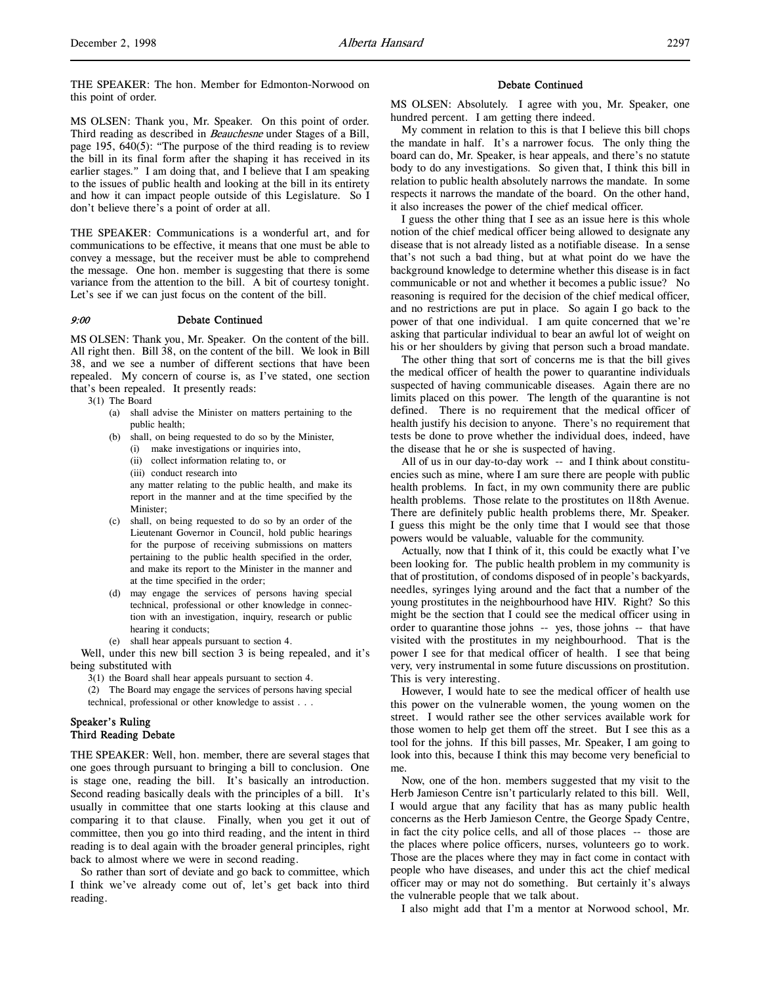THE SPEAKER: The hon. Member for Edmonton-Norwood on this point of order.

MS OLSEN: Thank you, Mr. Speaker. On this point of order. Third reading as described in *Beauchesne* under Stages of a Bill, page 195, 640(5): "The purpose of the third reading is to review the bill in its final form after the shaping it has received in its earlier stages." I am doing that, and I believe that I am speaking to the issues of public health and looking at the bill in its entirety and how it can impact people outside of this Legislature. So I don't believe there's a point of order at all.

THE SPEAKER: Communications is a wonderful art, and for communications to be effective, it means that one must be able to convey a message, but the receiver must be able to comprehend the message. One hon. member is suggesting that there is some variance from the attention to the bill. A bit of courtesy tonight. Let's see if we can just focus on the content of the bill.

#### 9:00 Debate Continued

MS OLSEN: Thank you, Mr. Speaker. On the content of the bill. All right then. Bill 38, on the content of the bill. We look in Bill 38, and we see a number of different sections that have been repealed. My concern of course is, as I've stated, one section that's been repealed. It presently reads:

3(1) The Board

- (a) shall advise the Minister on matters pertaining to the public health;
- (b) shall, on being requested to do so by the Minister,
	- (i) make investigations or inquiries into,
	- (ii) collect information relating to, or
	- (iii) conduct research into

any matter relating to the public health, and make its report in the manner and at the time specified by the Minister;

- shall, on being requested to do so by an order of the Lieutenant Governor in Council, hold public hearings for the purpose of receiving submissions on matters pertaining to the public health specified in the order, and make its report to the Minister in the manner and at the time specified in the order;
- (d) may engage the services of persons having special technical, professional or other knowledge in connection with an investigation, inquiry, research or public hearing it conducts;
- (e) shall hear appeals pursuant to section 4.

Well, under this new bill section 3 is being repealed, and it's being substituted with

3(1) the Board shall hear appeals pursuant to section 4.

(2) The Board may engage the services of persons having special technical, professional or other knowledge to assist . . .

## Speaker's Ruling Third Reading Debate

THE SPEAKER: Well, hon. member, there are several stages that one goes through pursuant to bringing a bill to conclusion. One is stage one, reading the bill. It's basically an introduction. Second reading basically deals with the principles of a bill. It's usually in committee that one starts looking at this clause and comparing it to that clause. Finally, when you get it out of committee, then you go into third reading, and the intent in third reading is to deal again with the broader general principles, right back to almost where we were in second reading.

So rather than sort of deviate and go back to committee, which I think we've already come out of, let's get back into third reading.

#### Debate Continued

MS OLSEN: Absolutely. I agree with you, Mr. Speaker, one hundred percent. I am getting there indeed.

My comment in relation to this is that I believe this bill chops the mandate in half. It's a narrower focus. The only thing the board can do, Mr. Speaker, is hear appeals, and there's no statute body to do any investigations. So given that, I think this bill in relation to public health absolutely narrows the mandate. In some respects it narrows the mandate of the board. On the other hand, it also increases the power of the chief medical officer.

I guess the other thing that I see as an issue here is this whole notion of the chief medical officer being allowed to designate any disease that is not already listed as a notifiable disease. In a sense that's not such a bad thing, but at what point do we have the background knowledge to determine whether this disease is in fact communicable or not and whether it becomes a public issue? No reasoning is required for the decision of the chief medical officer, and no restrictions are put in place. So again I go back to the power of that one individual. I am quite concerned that we're asking that particular individual to bear an awful lot of weight on his or her shoulders by giving that person such a broad mandate.

The other thing that sort of concerns me is that the bill gives the medical officer of health the power to quarantine individuals suspected of having communicable diseases. Again there are no limits placed on this power. The length of the quarantine is not defined. There is no requirement that the medical officer of health justify his decision to anyone. There's no requirement that tests be done to prove whether the individual does, indeed, have the disease that he or she is suspected of having.

All of us in our day-to-day work -- and I think about constituencies such as mine, where I am sure there are people with public health problems. In fact, in my own community there are public health problems. Those relate to the prostitutes on 118th Avenue. There are definitely public health problems there, Mr. Speaker. I guess this might be the only time that I would see that those powers would be valuable, valuable for the community.

Actually, now that I think of it, this could be exactly what I've been looking for. The public health problem in my community is that of prostitution, of condoms disposed of in people's backyards, needles, syringes lying around and the fact that a number of the young prostitutes in the neighbourhood have HIV. Right? So this might be the section that I could see the medical officer using in order to quarantine those johns -- yes, those johns -- that have visited with the prostitutes in my neighbourhood. That is the power I see for that medical officer of health. I see that being very, very instrumental in some future discussions on prostitution. This is very interesting.

However, I would hate to see the medical officer of health use this power on the vulnerable women, the young women on the street. I would rather see the other services available work for those women to help get them off the street. But I see this as a tool for the johns. If this bill passes, Mr. Speaker, I am going to look into this, because I think this may become very beneficial to me.

Now, one of the hon. members suggested that my visit to the Herb Jamieson Centre isn't particularly related to this bill. Well, I would argue that any facility that has as many public health concerns as the Herb Jamieson Centre, the George Spady Centre, in fact the city police cells, and all of those places -- those are the places where police officers, nurses, volunteers go to work. Those are the places where they may in fact come in contact with people who have diseases, and under this act the chief medical officer may or may not do something. But certainly it's always the vulnerable people that we talk about.

I also might add that I'm a mentor at Norwood school, Mr.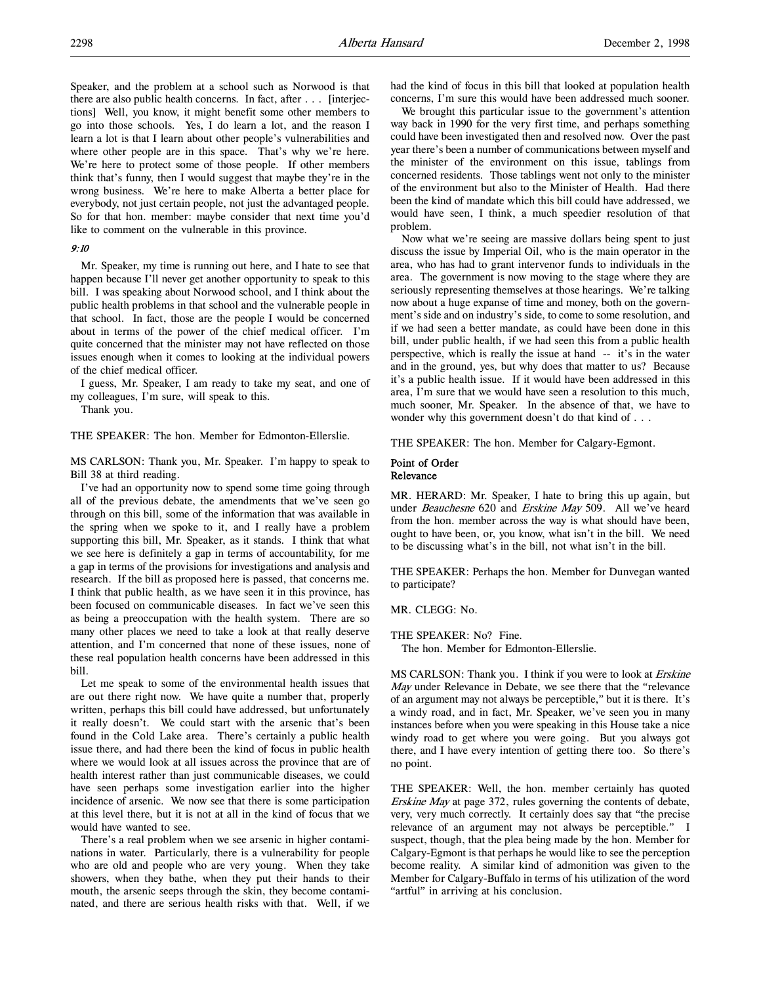Speaker, and the problem at a school such as Norwood is that there are also public health concerns. In fact, after . . . [interjections] Well, you know, it might benefit some other members to go into those schools. Yes, I do learn a lot, and the reason I learn a lot is that I learn about other people's vulnerabilities and where other people are in this space. That's why we're here. We're here to protect some of those people. If other members think that's funny, then I would suggest that maybe they're in the wrong business. We're here to make Alberta a better place for everybody, not just certain people, not just the advantaged people. So for that hon. member: maybe consider that next time you'd like to comment on the vulnerable in this province.

### 9:10

Mr. Speaker, my time is running out here, and I hate to see that happen because I'll never get another opportunity to speak to this bill. I was speaking about Norwood school, and I think about the public health problems in that school and the vulnerable people in that school. In fact, those are the people I would be concerned about in terms of the power of the chief medical officer. I'm quite concerned that the minister may not have reflected on those issues enough when it comes to looking at the individual powers of the chief medical officer.

I guess, Mr. Speaker, I am ready to take my seat, and one of my colleagues, I'm sure, will speak to this.

Thank you.

THE SPEAKER: The hon. Member for Edmonton-Ellerslie.

MS CARLSON: Thank you, Mr. Speaker. I'm happy to speak to Bill 38 at third reading.

I've had an opportunity now to spend some time going through all of the previous debate, the amendments that we've seen go through on this bill, some of the information that was available in the spring when we spoke to it, and I really have a problem supporting this bill, Mr. Speaker, as it stands. I think that what we see here is definitely a gap in terms of accountability, for me a gap in terms of the provisions for investigations and analysis and research. If the bill as proposed here is passed, that concerns me. I think that public health, as we have seen it in this province, has been focused on communicable diseases. In fact we've seen this as being a preoccupation with the health system. There are so many other places we need to take a look at that really deserve attention, and I'm concerned that none of these issues, none of these real population health concerns have been addressed in this bill.

Let me speak to some of the environmental health issues that are out there right now. We have quite a number that, properly written, perhaps this bill could have addressed, but unfortunately it really doesn't. We could start with the arsenic that's been found in the Cold Lake area. There's certainly a public health issue there, and had there been the kind of focus in public health where we would look at all issues across the province that are of health interest rather than just communicable diseases, we could have seen perhaps some investigation earlier into the higher incidence of arsenic. We now see that there is some participation at this level there, but it is not at all in the kind of focus that we would have wanted to see.

There's a real problem when we see arsenic in higher contaminations in water. Particularly, there is a vulnerability for people who are old and people who are very young. When they take showers, when they bathe, when they put their hands to their mouth, the arsenic seeps through the skin, they become contaminated, and there are serious health risks with that. Well, if we

had the kind of focus in this bill that looked at population health concerns, I'm sure this would have been addressed much sooner.

We brought this particular issue to the government's attention way back in 1990 for the very first time, and perhaps something could have been investigated then and resolved now. Over the past year there's been a number of communications between myself and the minister of the environment on this issue, tablings from concerned residents. Those tablings went not only to the minister of the environment but also to the Minister of Health. Had there been the kind of mandate which this bill could have addressed, we would have seen, I think, a much speedier resolution of that problem.

Now what we're seeing are massive dollars being spent to just discuss the issue by Imperial Oil, who is the main operator in the area, who has had to grant intervenor funds to individuals in the area. The government is now moving to the stage where they are seriously representing themselves at those hearings. We're talking now about a huge expanse of time and money, both on the government's side and on industry's side, to come to some resolution, and if we had seen a better mandate, as could have been done in this bill, under public health, if we had seen this from a public health perspective, which is really the issue at hand -- it's in the water and in the ground, yes, but why does that matter to us? Because it's a public health issue. If it would have been addressed in this area, I'm sure that we would have seen a resolution to this much, much sooner, Mr. Speaker. In the absence of that, we have to wonder why this government doesn't do that kind of . . .

THE SPEAKER: The hon. Member for Calgary-Egmont.

#### Point of Order Relevance

MR. HERARD: Mr. Speaker, I hate to bring this up again, but under Beauchesne 620 and Erskine May 509. All we've heard from the hon. member across the way is what should have been, ought to have been, or, you know, what isn't in the bill. We need to be discussing what's in the bill, not what isn't in the bill.

THE SPEAKER: Perhaps the hon. Member for Dunvegan wanted to participate?

MR. CLEGG: No.

THE SPEAKER: No? Fine.

The hon. Member for Edmonton-Ellerslie.

MS CARLSON: Thank you. I think if you were to look at *Erskine* May under Relevance in Debate, we see there that the "relevance of an argument may not always be perceptible," but it is there. It's a windy road, and in fact, Mr. Speaker, we've seen you in many instances before when you were speaking in this House take a nice windy road to get where you were going. But you always got there, and I have every intention of getting there too. So there's no point.

THE SPEAKER: Well, the hon. member certainly has quoted Erskine May at page 372, rules governing the contents of debate, very, very much correctly. It certainly does say that "the precise relevance of an argument may not always be perceptible." I suspect, though, that the plea being made by the hon. Member for Calgary-Egmont is that perhaps he would like to see the perception become reality. A similar kind of admonition was given to the Member for Calgary-Buffalo in terms of his utilization of the word "artful" in arriving at his conclusion.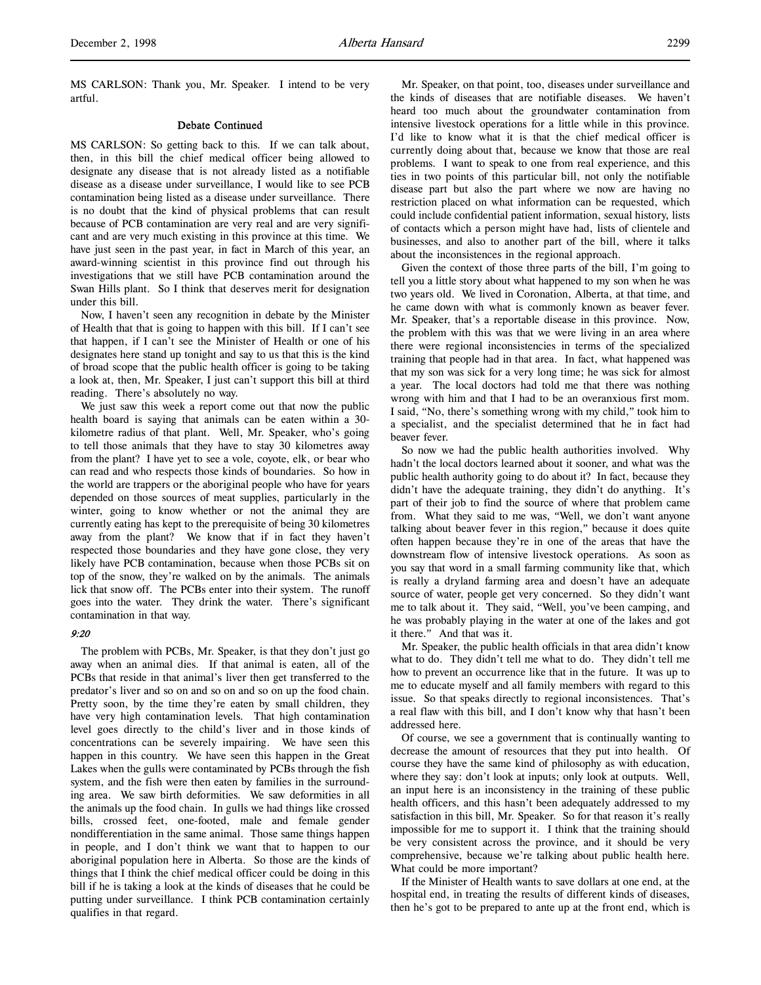MS CARLSON: Thank you, Mr. Speaker. I intend to be very artful.

### Debate Continued

MS CARLSON: So getting back to this. If we can talk about, then, in this bill the chief medical officer being allowed to designate any disease that is not already listed as a notifiable disease as a disease under surveillance, I would like to see PCB contamination being listed as a disease under surveillance. There is no doubt that the kind of physical problems that can result because of PCB contamination are very real and are very significant and are very much existing in this province at this time. We have just seen in the past year, in fact in March of this year, an award-winning scientist in this province find out through his investigations that we still have PCB contamination around the Swan Hills plant. So I think that deserves merit for designation under this bill.

Now, I haven't seen any recognition in debate by the Minister of Health that that is going to happen with this bill. If I can't see that happen, if I can't see the Minister of Health or one of his designates here stand up tonight and say to us that this is the kind of broad scope that the public health officer is going to be taking a look at, then, Mr. Speaker, I just can't support this bill at third reading. There's absolutely no way.

We just saw this week a report come out that now the public health board is saying that animals can be eaten within a 30 kilometre radius of that plant. Well, Mr. Speaker, who's going to tell those animals that they have to stay 30 kilometres away from the plant? I have yet to see a vole, coyote, elk, or bear who can read and who respects those kinds of boundaries. So how in the world are trappers or the aboriginal people who have for years depended on those sources of meat supplies, particularly in the winter, going to know whether or not the animal they are currently eating has kept to the prerequisite of being 30 kilometres away from the plant? We know that if in fact they haven't respected those boundaries and they have gone close, they very likely have PCB contamination, because when those PCBs sit on top of the snow, they're walked on by the animals. The animals lick that snow off. The PCBs enter into their system. The runoff goes into the water. They drink the water. There's significant contamination in that way.

### 9:20

The problem with PCBs, Mr. Speaker, is that they don't just go away when an animal dies. If that animal is eaten, all of the PCBs that reside in that animal's liver then get transferred to the predator's liver and so on and so on and so on up the food chain. Pretty soon, by the time they're eaten by small children, they have very high contamination levels. That high contamination level goes directly to the child's liver and in those kinds of concentrations can be severely impairing. We have seen this happen in this country. We have seen this happen in the Great Lakes when the gulls were contaminated by PCBs through the fish system, and the fish were then eaten by families in the surrounding area. We saw birth deformities. We saw deformities in all the animals up the food chain. In gulls we had things like crossed bills, crossed feet, one-footed, male and female gender nondifferentiation in the same animal. Those same things happen in people, and I don't think we want that to happen to our aboriginal population here in Alberta. So those are the kinds of things that I think the chief medical officer could be doing in this bill if he is taking a look at the kinds of diseases that he could be putting under surveillance. I think PCB contamination certainly qualifies in that regard.

Mr. Speaker, on that point, too, diseases under surveillance and the kinds of diseases that are notifiable diseases. We haven't heard too much about the groundwater contamination from intensive livestock operations for a little while in this province. I'd like to know what it is that the chief medical officer is currently doing about that, because we know that those are real problems. I want to speak to one from real experience, and this ties in two points of this particular bill, not only the notifiable disease part but also the part where we now are having no restriction placed on what information can be requested, which could include confidential patient information, sexual history, lists of contacts which a person might have had, lists of clientele and businesses, and also to another part of the bill, where it talks about the inconsistences in the regional approach.

Given the context of those three parts of the bill, I'm going to tell you a little story about what happened to my son when he was two years old. We lived in Coronation, Alberta, at that time, and he came down with what is commonly known as beaver fever. Mr. Speaker, that's a reportable disease in this province. Now, the problem with this was that we were living in an area where there were regional inconsistencies in terms of the specialized training that people had in that area. In fact, what happened was that my son was sick for a very long time; he was sick for almost a year. The local doctors had told me that there was nothing wrong with him and that I had to be an overanxious first mom. I said, "No, there's something wrong with my child," took him to a specialist, and the specialist determined that he in fact had beaver fever.

So now we had the public health authorities involved. Why hadn't the local doctors learned about it sooner, and what was the public health authority going to do about it? In fact, because they didn't have the adequate training, they didn't do anything. It's part of their job to find the source of where that problem came from. What they said to me was, "Well, we don't want anyone talking about beaver fever in this region," because it does quite often happen because they're in one of the areas that have the downstream flow of intensive livestock operations. As soon as you say that word in a small farming community like that, which is really a dryland farming area and doesn't have an adequate source of water, people get very concerned. So they didn't want me to talk about it. They said, "Well, you've been camping, and he was probably playing in the water at one of the lakes and got it there." And that was it.

Mr. Speaker, the public health officials in that area didn't know what to do. They didn't tell me what to do. They didn't tell me how to prevent an occurrence like that in the future. It was up to me to educate myself and all family members with regard to this issue. So that speaks directly to regional inconsistences. That's a real flaw with this bill, and I don't know why that hasn't been addressed here.

Of course, we see a government that is continually wanting to decrease the amount of resources that they put into health. Of course they have the same kind of philosophy as with education, where they say: don't look at inputs; only look at outputs. Well, an input here is an inconsistency in the training of these public health officers, and this hasn't been adequately addressed to my satisfaction in this bill, Mr. Speaker. So for that reason it's really impossible for me to support it. I think that the training should be very consistent across the province, and it should be very comprehensive, because we're talking about public health here. What could be more important?

If the Minister of Health wants to save dollars at one end, at the hospital end, in treating the results of different kinds of diseases, then he's got to be prepared to ante up at the front end, which is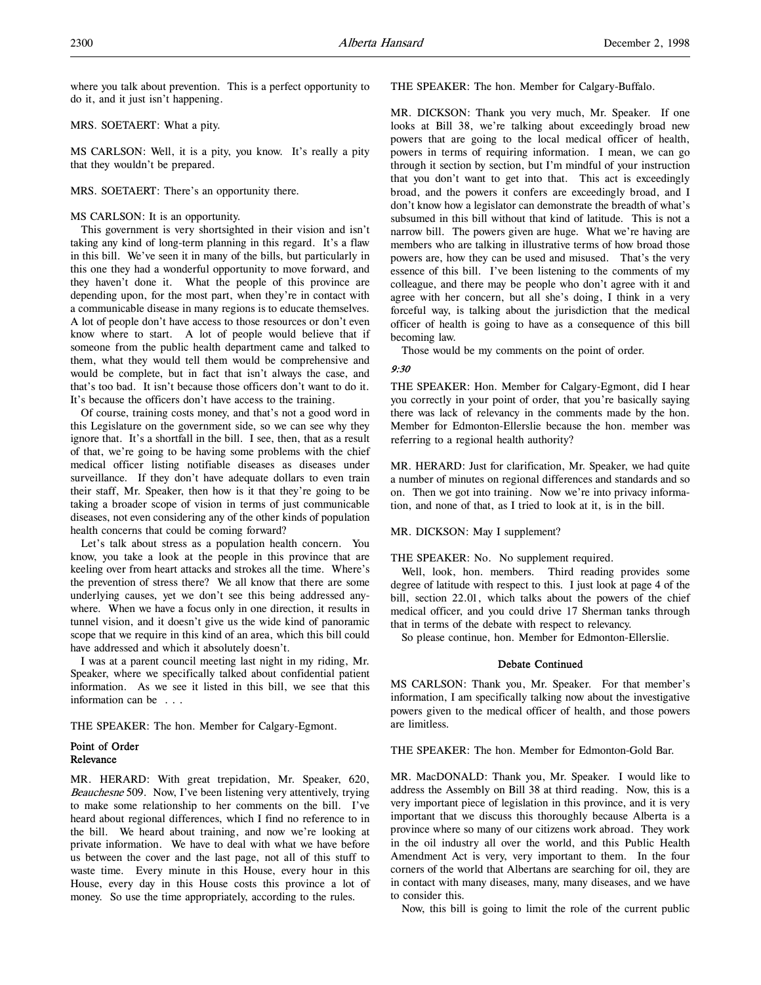where you talk about prevention. This is a perfect opportunity to do it, and it just isn't happening.

## MRS. SOETAERT: What a pity.

MS CARLSON: Well, it is a pity, you know. It's really a pity that they wouldn't be prepared.

## MRS. SOETAERT: There's an opportunity there.

## MS CARLSON: It is an opportunity.

This government is very shortsighted in their vision and isn't taking any kind of long-term planning in this regard. It's a flaw in this bill. We've seen it in many of the bills, but particularly in this one they had a wonderful opportunity to move forward, and they haven't done it. What the people of this province are depending upon, for the most part, when they're in contact with a communicable disease in many regions is to educate themselves. A lot of people don't have access to those resources or don't even know where to start. A lot of people would believe that if someone from the public health department came and talked to them, what they would tell them would be comprehensive and would be complete, but in fact that isn't always the case, and that's too bad. It isn't because those officers don't want to do it. It's because the officers don't have access to the training.

Of course, training costs money, and that's not a good word in this Legislature on the government side, so we can see why they ignore that. It's a shortfall in the bill. I see, then, that as a result of that, we're going to be having some problems with the chief medical officer listing notifiable diseases as diseases under surveillance. If they don't have adequate dollars to even train their staff, Mr. Speaker, then how is it that they're going to be taking a broader scope of vision in terms of just communicable diseases, not even considering any of the other kinds of population health concerns that could be coming forward?

Let's talk about stress as a population health concern. You know, you take a look at the people in this province that are keeling over from heart attacks and strokes all the time. Where's the prevention of stress there? We all know that there are some underlying causes, yet we don't see this being addressed anywhere. When we have a focus only in one direction, it results in tunnel vision, and it doesn't give us the wide kind of panoramic scope that we require in this kind of an area, which this bill could have addressed and which it absolutely doesn't.

I was at a parent council meeting last night in my riding, Mr. Speaker, where we specifically talked about confidential patient information. As we see it listed in this bill, we see that this information can be . . .

THE SPEAKER: The hon. Member for Calgary-Egmont.

## Point of Order Relevance

MR. HERARD: With great trepidation, Mr. Speaker, 620, Beauchesne 509. Now, I've been listening very attentively, trying to make some relationship to her comments on the bill. I've heard about regional differences, which I find no reference to in the bill. We heard about training, and now we're looking at private information. We have to deal with what we have before us between the cover and the last page, not all of this stuff to waste time. Every minute in this House, every hour in this House, every day in this House costs this province a lot of money. So use the time appropriately, according to the rules.

THE SPEAKER: The hon. Member for Calgary-Buffalo.

MR. DICKSON: Thank you very much, Mr. Speaker. If one looks at Bill 38, we're talking about exceedingly broad new powers that are going to the local medical officer of health, powers in terms of requiring information. I mean, we can go through it section by section, but I'm mindful of your instruction that you don't want to get into that. This act is exceedingly broad, and the powers it confers are exceedingly broad, and I don't know how a legislator can demonstrate the breadth of what's subsumed in this bill without that kind of latitude. This is not a narrow bill. The powers given are huge. What we're having are members who are talking in illustrative terms of how broad those powers are, how they can be used and misused. That's the very essence of this bill. I've been listening to the comments of my colleague, and there may be people who don't agree with it and agree with her concern, but all she's doing, I think in a very forceful way, is talking about the jurisdiction that the medical officer of health is going to have as a consequence of this bill becoming law.

Those would be my comments on the point of order.

### 9:30

THE SPEAKER: Hon. Member for Calgary-Egmont, did I hear you correctly in your point of order, that you're basically saying there was lack of relevancy in the comments made by the hon. Member for Edmonton-Ellerslie because the hon. member was referring to a regional health authority?

MR. HERARD: Just for clarification, Mr. Speaker, we had quite a number of minutes on regional differences and standards and so on. Then we got into training. Now we're into privacy information, and none of that, as I tried to look at it, is in the bill.

MR. DICKSON: May I supplement?

### THE SPEAKER: No. No supplement required.

Well, look, hon. members. Third reading provides some degree of latitude with respect to this. I just look at page 4 of the bill, section 22.01, which talks about the powers of the chief medical officer, and you could drive 17 Sherman tanks through that in terms of the debate with respect to relevancy.

So please continue, hon. Member for Edmonton-Ellerslie.

## Debate Continued

MS CARLSON: Thank you, Mr. Speaker. For that member's information, I am specifically talking now about the investigative powers given to the medical officer of health, and those powers are limitless.

THE SPEAKER: The hon. Member for Edmonton-Gold Bar.

MR. MacDONALD: Thank you, Mr. Speaker. I would like to address the Assembly on Bill 38 at third reading. Now, this is a very important piece of legislation in this province, and it is very important that we discuss this thoroughly because Alberta is a province where so many of our citizens work abroad. They work in the oil industry all over the world, and this Public Health Amendment Act is very, very important to them. In the four corners of the world that Albertans are searching for oil, they are in contact with many diseases, many, many diseases, and we have to consider this.

Now, this bill is going to limit the role of the current public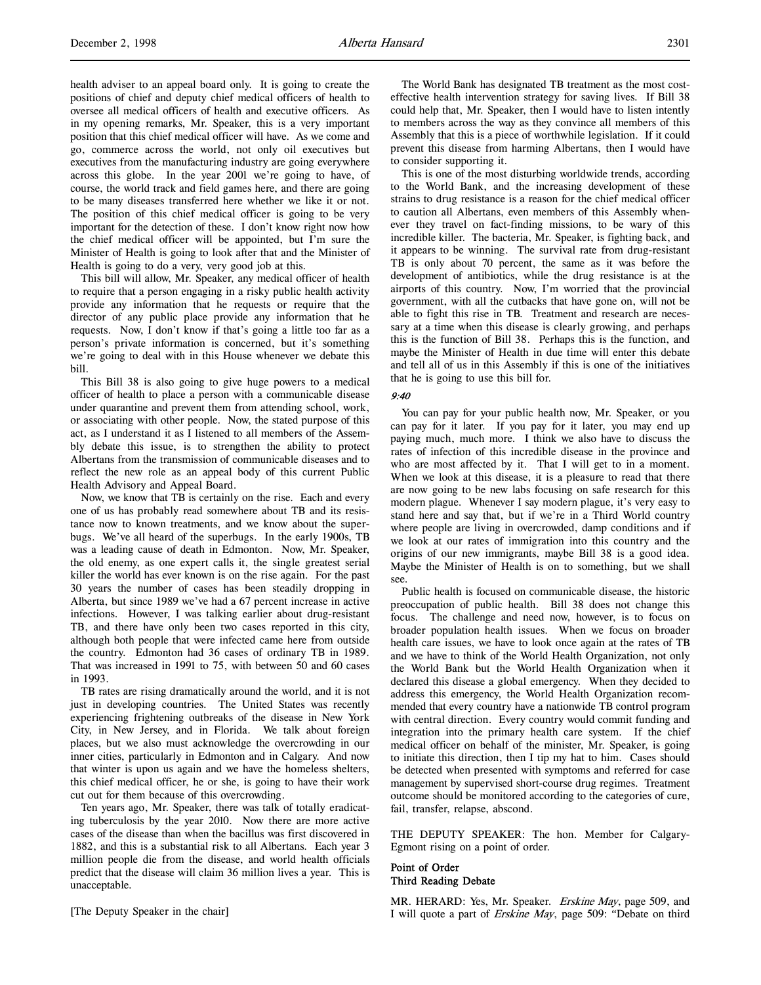health adviser to an appeal board only. It is going to create the positions of chief and deputy chief medical officers of health to oversee all medical officers of health and executive officers. As in my opening remarks, Mr. Speaker, this is a very important position that this chief medical officer will have. As we come and go, commerce across the world, not only oil executives but executives from the manufacturing industry are going everywhere across this globe. In the year 2001 we're going to have, of course, the world track and field games here, and there are going to be many diseases transferred here whether we like it or not. The position of this chief medical officer is going to be very important for the detection of these. I don't know right now how the chief medical officer will be appointed, but I'm sure the Minister of Health is going to look after that and the Minister of Health is going to do a very, very good job at this.

This bill will allow, Mr. Speaker, any medical officer of health to require that a person engaging in a risky public health activity provide any information that he requests or require that the director of any public place provide any information that he requests. Now, I don't know if that's going a little too far as a person's private information is concerned, but it's something we're going to deal with in this House whenever we debate this bill.

This Bill 38 is also going to give huge powers to a medical officer of health to place a person with a communicable disease under quarantine and prevent them from attending school, work, or associating with other people. Now, the stated purpose of this act, as I understand it as I listened to all members of the Assembly debate this issue, is to strengthen the ability to protect Albertans from the transmission of communicable diseases and to reflect the new role as an appeal body of this current Public Health Advisory and Appeal Board.

Now, we know that TB is certainly on the rise. Each and every one of us has probably read somewhere about TB and its resistance now to known treatments, and we know about the superbugs. We've all heard of the superbugs. In the early 1900s, TB was a leading cause of death in Edmonton. Now, Mr. Speaker, the old enemy, as one expert calls it, the single greatest serial killer the world has ever known is on the rise again. For the past 30 years the number of cases has been steadily dropping in Alberta, but since 1989 we've had a 67 percent increase in active infections. However, I was talking earlier about drug-resistant TB, and there have only been two cases reported in this city, although both people that were infected came here from outside the country. Edmonton had 36 cases of ordinary TB in 1989. That was increased in 1991 to 75, with between 50 and 60 cases in 1993.

TB rates are rising dramatically around the world, and it is not just in developing countries. The United States was recently experiencing frightening outbreaks of the disease in New York City, in New Jersey, and in Florida. We talk about foreign places, but we also must acknowledge the overcrowding in our inner cities, particularly in Edmonton and in Calgary. And now that winter is upon us again and we have the homeless shelters, this chief medical officer, he or she, is going to have their work cut out for them because of this overcrowding.

Ten years ago, Mr. Speaker, there was talk of totally eradicating tuberculosis by the year 2010. Now there are more active cases of the disease than when the bacillus was first discovered in 1882, and this is a substantial risk to all Albertans. Each year 3 million people die from the disease, and world health officials predict that the disease will claim 36 million lives a year. This is unacceptable.

[The Deputy Speaker in the chair]

The World Bank has designated TB treatment as the most costeffective health intervention strategy for saving lives. If Bill 38 could help that, Mr. Speaker, then I would have to listen intently to members across the way as they convince all members of this Assembly that this is a piece of worthwhile legislation. If it could prevent this disease from harming Albertans, then I would have to consider supporting it.

This is one of the most disturbing worldwide trends, according to the World Bank, and the increasing development of these strains to drug resistance is a reason for the chief medical officer to caution all Albertans, even members of this Assembly whenever they travel on fact-finding missions, to be wary of this incredible killer. The bacteria, Mr. Speaker, is fighting back, and it appears to be winning. The survival rate from drug-resistant TB is only about 70 percent, the same as it was before the development of antibiotics, while the drug resistance is at the airports of this country. Now, I'm worried that the provincial government, with all the cutbacks that have gone on, will not be able to fight this rise in TB. Treatment and research are necessary at a time when this disease is clearly growing, and perhaps this is the function of Bill 38. Perhaps this is the function, and maybe the Minister of Health in due time will enter this debate and tell all of us in this Assembly if this is one of the initiatives that he is going to use this bill for.

#### 9:40

You can pay for your public health now, Mr. Speaker, or you can pay for it later. If you pay for it later, you may end up paying much, much more. I think we also have to discuss the rates of infection of this incredible disease in the province and who are most affected by it. That I will get to in a moment. When we look at this disease, it is a pleasure to read that there are now going to be new labs focusing on safe research for this modern plague. Whenever I say modern plague, it's very easy to stand here and say that, but if we're in a Third World country where people are living in overcrowded, damp conditions and if we look at our rates of immigration into this country and the origins of our new immigrants, maybe Bill 38 is a good idea. Maybe the Minister of Health is on to something, but we shall see.

Public health is focused on communicable disease, the historic preoccupation of public health. Bill 38 does not change this focus. The challenge and need now, however, is to focus on broader population health issues. When we focus on broader health care issues, we have to look once again at the rates of TB and we have to think of the World Health Organization, not only the World Bank but the World Health Organization when it declared this disease a global emergency. When they decided to address this emergency, the World Health Organization recommended that every country have a nationwide TB control program with central direction. Every country would commit funding and integration into the primary health care system. If the chief medical officer on behalf of the minister, Mr. Speaker, is going to initiate this direction, then I tip my hat to him. Cases should be detected when presented with symptoms and referred for case management by supervised short-course drug regimes. Treatment outcome should be monitored according to the categories of cure, fail, transfer, relapse, abscond.

THE DEPUTY SPEAKER: The hon. Member for Calgary-Egmont rising on a point of order.

## Point of Order Third Reading Debate

MR. HERARD: Yes, Mr. Speaker. Erskine May, page 509, and I will quote a part of Erskine May, page 509: "Debate on third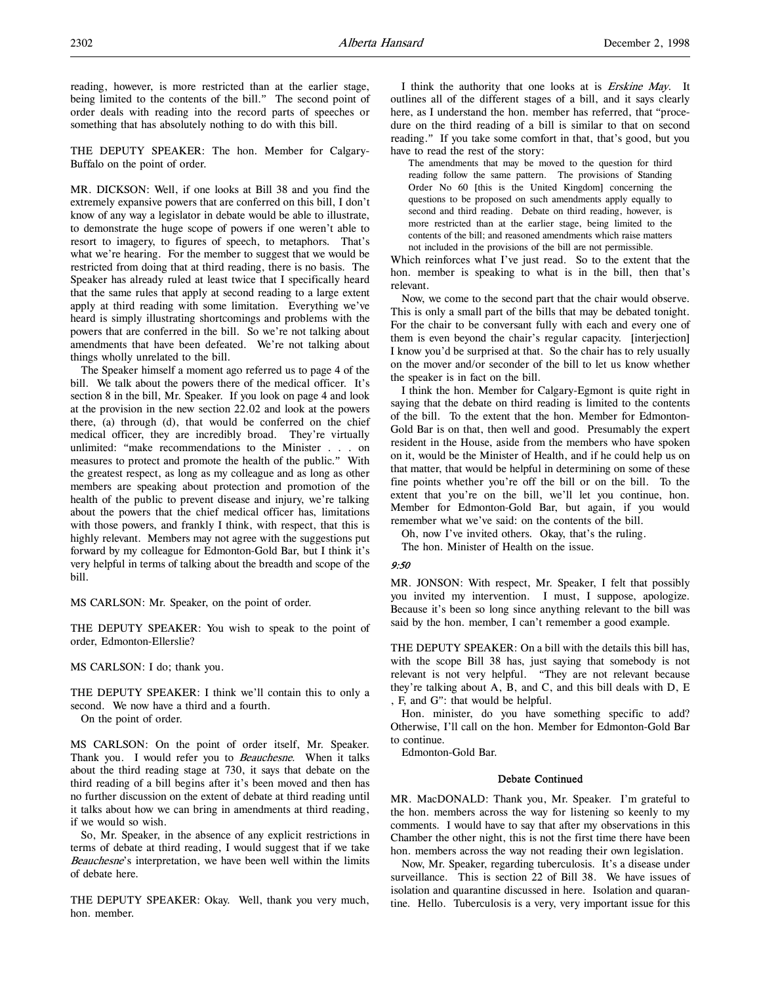reading, however, is more restricted than at the earlier stage, being limited to the contents of the bill." The second point of order deals with reading into the record parts of speeches or something that has absolutely nothing to do with this bill.

THE DEPUTY SPEAKER: The hon. Member for Calgary-Buffalo on the point of order.

MR. DICKSON: Well, if one looks at Bill 38 and you find the extremely expansive powers that are conferred on this bill, I don't know of any way a legislator in debate would be able to illustrate, to demonstrate the huge scope of powers if one weren't able to resort to imagery, to figures of speech, to metaphors. That's what we're hearing. For the member to suggest that we would be restricted from doing that at third reading, there is no basis. The Speaker has already ruled at least twice that I specifically heard that the same rules that apply at second reading to a large extent apply at third reading with some limitation. Everything we've heard is simply illustrating shortcomings and problems with the powers that are conferred in the bill. So we're not talking about amendments that have been defeated. We're not talking about things wholly unrelated to the bill.

The Speaker himself a moment ago referred us to page 4 of the bill. We talk about the powers there of the medical officer. It's section 8 in the bill, Mr. Speaker. If you look on page 4 and look at the provision in the new section 22.02 and look at the powers there, (a) through (d), that would be conferred on the chief medical officer, they are incredibly broad. They're virtually unlimited: "make recommendations to the Minister . . . on measures to protect and promote the health of the public." With the greatest respect, as long as my colleague and as long as other members are speaking about protection and promotion of the health of the public to prevent disease and injury, we're talking about the powers that the chief medical officer has, limitations with those powers, and frankly I think, with respect, that this is highly relevant. Members may not agree with the suggestions put forward by my colleague for Edmonton-Gold Bar, but I think it's very helpful in terms of talking about the breadth and scope of the bill.

MS CARLSON: Mr. Speaker, on the point of order.

THE DEPUTY SPEAKER: You wish to speak to the point of order, Edmonton-Ellerslie?

MS CARLSON: I do; thank you.

THE DEPUTY SPEAKER: I think we'll contain this to only a second. We now have a third and a fourth.

On the point of order.

MS CARLSON: On the point of order itself, Mr. Speaker. Thank you. I would refer you to Beauchesne. When it talks about the third reading stage at 730, it says that debate on the third reading of a bill begins after it's been moved and then has no further discussion on the extent of debate at third reading until it talks about how we can bring in amendments at third reading, if we would so wish.

So, Mr. Speaker, in the absence of any explicit restrictions in terms of debate at third reading, I would suggest that if we take Beauchesne's interpretation, we have been well within the limits of debate here.

THE DEPUTY SPEAKER: Okay. Well, thank you very much, hon. member.

I think the authority that one looks at is Erskine May. It outlines all of the different stages of a bill, and it says clearly here, as I understand the hon. member has referred, that "procedure on the third reading of a bill is similar to that on second reading." If you take some comfort in that, that's good, but you have to read the rest of the story:

The amendments that may be moved to the question for third reading follow the same pattern. The provisions of Standing Order No 60 [this is the United Kingdom] concerning the questions to be proposed on such amendments apply equally to second and third reading. Debate on third reading, however, is more restricted than at the earlier stage, being limited to the contents of the bill; and reasoned amendments which raise matters not included in the provisions of the bill are not permissible.

Which reinforces what I've just read. So to the extent that the hon. member is speaking to what is in the bill, then that's relevant.

Now, we come to the second part that the chair would observe. This is only a small part of the bills that may be debated tonight. For the chair to be conversant fully with each and every one of them is even beyond the chair's regular capacity. [interjection] I know you'd be surprised at that. So the chair has to rely usually on the mover and/or seconder of the bill to let us know whether the speaker is in fact on the bill.

I think the hon. Member for Calgary-Egmont is quite right in saying that the debate on third reading is limited to the contents of the bill. To the extent that the hon. Member for Edmonton-Gold Bar is on that, then well and good. Presumably the expert resident in the House, aside from the members who have spoken on it, would be the Minister of Health, and if he could help us on that matter, that would be helpful in determining on some of these fine points whether you're off the bill or on the bill. To the extent that you're on the bill, we'll let you continue, hon. Member for Edmonton-Gold Bar, but again, if you would remember what we've said: on the contents of the bill.

Oh, now I've invited others. Okay, that's the ruling.

The hon. Minister of Health on the issue.

### $9.50$

MR. JONSON: With respect, Mr. Speaker, I felt that possibly you invited my intervention. I must, I suppose, apologize. Because it's been so long since anything relevant to the bill was said by the hon. member, I can't remember a good example.

THE DEPUTY SPEAKER: On a bill with the details this bill has, with the scope Bill 38 has, just saying that somebody is not relevant is not very helpful. "They are not relevant because they're talking about A, B, and C, and this bill deals with D, E , F, and G": that would be helpful.

Hon. minister, do you have something specific to add? Otherwise, I'll call on the hon. Member for Edmonton-Gold Bar to continue.

Edmonton-Gold Bar.

### Debate Continued

MR. MacDONALD: Thank you, Mr. Speaker. I'm grateful to the hon. members across the way for listening so keenly to my comments. I would have to say that after my observations in this Chamber the other night, this is not the first time there have been hon. members across the way not reading their own legislation.

Now, Mr. Speaker, regarding tuberculosis. It's a disease under surveillance. This is section 22 of Bill 38. We have issues of isolation and quarantine discussed in here. Isolation and quarantine. Hello. Tuberculosis is a very, very important issue for this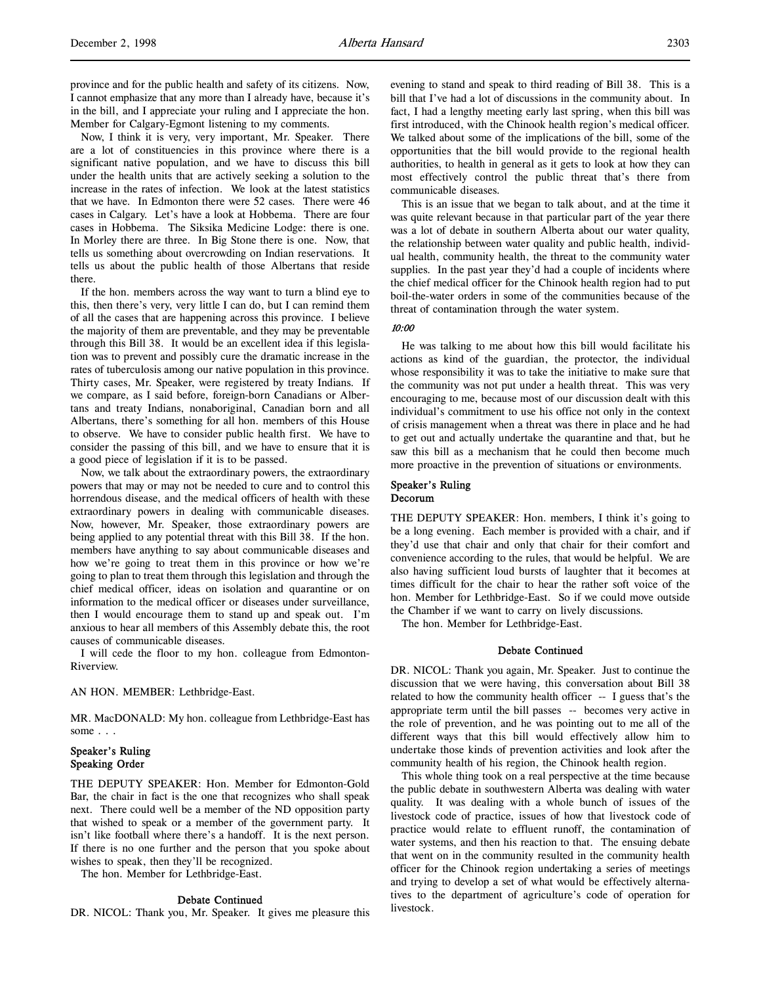province and for the public health and safety of its citizens. Now, I cannot emphasize that any more than I already have, because it's in the bill, and I appreciate your ruling and I appreciate the hon. Member for Calgary-Egmont listening to my comments.

Now, I think it is very, very important, Mr. Speaker. There are a lot of constituencies in this province where there is a significant native population, and we have to discuss this bill under the health units that are actively seeking a solution to the increase in the rates of infection. We look at the latest statistics that we have. In Edmonton there were 52 cases. There were 46 cases in Calgary. Let's have a look at Hobbema. There are four cases in Hobbema. The Siksika Medicine Lodge: there is one. In Morley there are three. In Big Stone there is one. Now, that tells us something about overcrowding on Indian reservations. It tells us about the public health of those Albertans that reside there.

If the hon. members across the way want to turn a blind eye to this, then there's very, very little I can do, but I can remind them of all the cases that are happening across this province. I believe the majority of them are preventable, and they may be preventable through this Bill 38. It would be an excellent idea if this legislation was to prevent and possibly cure the dramatic increase in the rates of tuberculosis among our native population in this province. Thirty cases, Mr. Speaker, were registered by treaty Indians. If we compare, as I said before, foreign-born Canadians or Albertans and treaty Indians, nonaboriginal, Canadian born and all Albertans, there's something for all hon. members of this House to observe. We have to consider public health first. We have to consider the passing of this bill, and we have to ensure that it is a good piece of legislation if it is to be passed.

Now, we talk about the extraordinary powers, the extraordinary powers that may or may not be needed to cure and to control this horrendous disease, and the medical officers of health with these extraordinary powers in dealing with communicable diseases. Now, however, Mr. Speaker, those extraordinary powers are being applied to any potential threat with this Bill 38. If the hon. members have anything to say about communicable diseases and how we're going to treat them in this province or how we're going to plan to treat them through this legislation and through the chief medical officer, ideas on isolation and quarantine or on information to the medical officer or diseases under surveillance, then I would encourage them to stand up and speak out. I'm anxious to hear all members of this Assembly debate this, the root causes of communicable diseases.

I will cede the floor to my hon. colleague from Edmonton-Riverview.

AN HON. MEMBER: Lethbridge-East.

MR. MacDONALD: My hon. colleague from Lethbridge-East has some . . .

## Speaker's Ruling Speaking Order

THE DEPUTY SPEAKER: Hon. Member for Edmonton-Gold Bar, the chair in fact is the one that recognizes who shall speak next. There could well be a member of the ND opposition party that wished to speak or a member of the government party. It isn't like football where there's a handoff. It is the next person. If there is no one further and the person that you spoke about wishes to speak, then they'll be recognized.

The hon. Member for Lethbridge-East.

#### Debate Continued

DR. NICOL: Thank you, Mr. Speaker. It gives me pleasure this

evening to stand and speak to third reading of Bill 38. This is a bill that I've had a lot of discussions in the community about. In fact, I had a lengthy meeting early last spring, when this bill was first introduced, with the Chinook health region's medical officer. We talked about some of the implications of the bill, some of the opportunities that the bill would provide to the regional health authorities, to health in general as it gets to look at how they can most effectively control the public threat that's there from communicable diseases.

This is an issue that we began to talk about, and at the time it was quite relevant because in that particular part of the year there was a lot of debate in southern Alberta about our water quality, the relationship between water quality and public health, individual health, community health, the threat to the community water supplies. In the past year they'd had a couple of incidents where the chief medical officer for the Chinook health region had to put boil-the-water orders in some of the communities because of the threat of contamination through the water system.

### 10:00

He was talking to me about how this bill would facilitate his actions as kind of the guardian, the protector, the individual whose responsibility it was to take the initiative to make sure that the community was not put under a health threat. This was very encouraging to me, because most of our discussion dealt with this individual's commitment to use his office not only in the context of crisis management when a threat was there in place and he had to get out and actually undertake the quarantine and that, but he saw this bill as a mechanism that he could then become much more proactive in the prevention of situations or environments.

#### Speaker's Ruling Decorum

THE DEPUTY SPEAKER: Hon. members, I think it's going to be a long evening. Each member is provided with a chair, and if they'd use that chair and only that chair for their comfort and convenience according to the rules, that would be helpful. We are also having sufficient loud bursts of laughter that it becomes at times difficult for the chair to hear the rather soft voice of the hon. Member for Lethbridge-East. So if we could move outside the Chamber if we want to carry on lively discussions.

The hon. Member for Lethbridge-East.

#### Debate Continued

DR. NICOL: Thank you again, Mr. Speaker. Just to continue the discussion that we were having, this conversation about Bill 38 related to how the community health officer -- I guess that's the appropriate term until the bill passes -- becomes very active in the role of prevention, and he was pointing out to me all of the different ways that this bill would effectively allow him to undertake those kinds of prevention activities and look after the community health of his region, the Chinook health region.

This whole thing took on a real perspective at the time because the public debate in southwestern Alberta was dealing with water quality. It was dealing with a whole bunch of issues of the livestock code of practice, issues of how that livestock code of practice would relate to effluent runoff, the contamination of water systems, and then his reaction to that. The ensuing debate that went on in the community resulted in the community health officer for the Chinook region undertaking a series of meetings and trying to develop a set of what would be effectively alternatives to the department of agriculture's code of operation for livestock.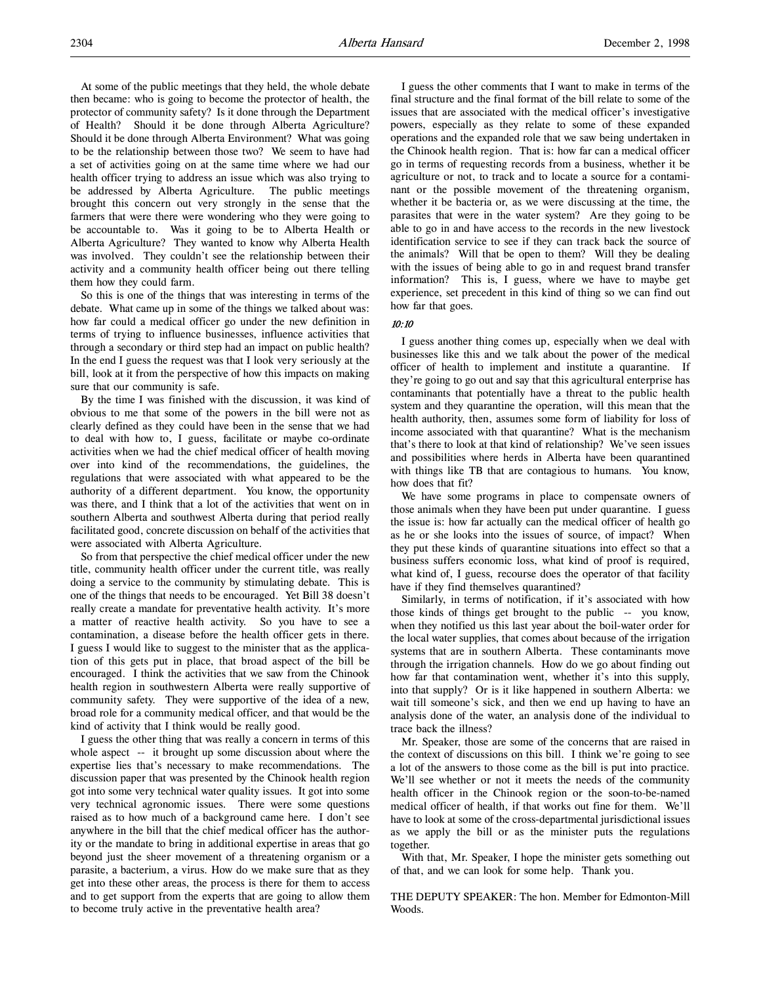At some of the public meetings that they held, the whole debate then became: who is going to become the protector of health, the protector of community safety? Is it done through the Department of Health? Should it be done through Alberta Agriculture? Should it be done through Alberta Environment? What was going to be the relationship between those two? We seem to have had a set of activities going on at the same time where we had our health officer trying to address an issue which was also trying to be addressed by Alberta Agriculture. The public meetings brought this concern out very strongly in the sense that the farmers that were there were wondering who they were going to be accountable to. Was it going to be to Alberta Health or Alberta Agriculture? They wanted to know why Alberta Health was involved. They couldn't see the relationship between their activity and a community health officer being out there telling them how they could farm.

So this is one of the things that was interesting in terms of the debate. What came up in some of the things we talked about was: how far could a medical officer go under the new definition in terms of trying to influence businesses, influence activities that through a secondary or third step had an impact on public health? In the end I guess the request was that I look very seriously at the bill, look at it from the perspective of how this impacts on making sure that our community is safe.

By the time I was finished with the discussion, it was kind of obvious to me that some of the powers in the bill were not as clearly defined as they could have been in the sense that we had to deal with how to, I guess, facilitate or maybe co-ordinate activities when we had the chief medical officer of health moving over into kind of the recommendations, the guidelines, the regulations that were associated with what appeared to be the authority of a different department. You know, the opportunity was there, and I think that a lot of the activities that went on in southern Alberta and southwest Alberta during that period really facilitated good, concrete discussion on behalf of the activities that were associated with Alberta Agriculture.

So from that perspective the chief medical officer under the new title, community health officer under the current title, was really doing a service to the community by stimulating debate. This is one of the things that needs to be encouraged. Yet Bill 38 doesn't really create a mandate for preventative health activity. It's more a matter of reactive health activity. So you have to see a contamination, a disease before the health officer gets in there. I guess I would like to suggest to the minister that as the application of this gets put in place, that broad aspect of the bill be encouraged. I think the activities that we saw from the Chinook health region in southwestern Alberta were really supportive of community safety. They were supportive of the idea of a new, broad role for a community medical officer, and that would be the kind of activity that I think would be really good.

I guess the other thing that was really a concern in terms of this whole aspect -- it brought up some discussion about where the expertise lies that's necessary to make recommendations. The discussion paper that was presented by the Chinook health region got into some very technical water quality issues. It got into some very technical agronomic issues. There were some questions raised as to how much of a background came here. I don't see anywhere in the bill that the chief medical officer has the authority or the mandate to bring in additional expertise in areas that go beyond just the sheer movement of a threatening organism or a parasite, a bacterium, a virus. How do we make sure that as they get into these other areas, the process is there for them to access and to get support from the experts that are going to allow them to become truly active in the preventative health area?

I guess the other comments that I want to make in terms of the final structure and the final format of the bill relate to some of the issues that are associated with the medical officer's investigative powers, especially as they relate to some of these expanded operations and the expanded role that we saw being undertaken in the Chinook health region. That is: how far can a medical officer go in terms of requesting records from a business, whether it be agriculture or not, to track and to locate a source for a contaminant or the possible movement of the threatening organism, whether it be bacteria or, as we were discussing at the time, the parasites that were in the water system? Are they going to be able to go in and have access to the records in the new livestock identification service to see if they can track back the source of the animals? Will that be open to them? Will they be dealing with the issues of being able to go in and request brand transfer information? This is, I guess, where we have to maybe get experience, set precedent in this kind of thing so we can find out how far that goes.

## 10:10

I guess another thing comes up, especially when we deal with businesses like this and we talk about the power of the medical officer of health to implement and institute a quarantine. If they're going to go out and say that this agricultural enterprise has contaminants that potentially have a threat to the public health system and they quarantine the operation, will this mean that the health authority, then, assumes some form of liability for loss of income associated with that quarantine? What is the mechanism that's there to look at that kind of relationship? We've seen issues and possibilities where herds in Alberta have been quarantined with things like TB that are contagious to humans. You know, how does that fit?

We have some programs in place to compensate owners of those animals when they have been put under quarantine. I guess the issue is: how far actually can the medical officer of health go as he or she looks into the issues of source, of impact? When they put these kinds of quarantine situations into effect so that a business suffers economic loss, what kind of proof is required, what kind of, I guess, recourse does the operator of that facility have if they find themselves quarantined?

Similarly, in terms of notification, if it's associated with how those kinds of things get brought to the public -- you know, when they notified us this last year about the boil-water order for the local water supplies, that comes about because of the irrigation systems that are in southern Alberta. These contaminants move through the irrigation channels. How do we go about finding out how far that contamination went, whether it's into this supply, into that supply? Or is it like happened in southern Alberta: we wait till someone's sick, and then we end up having to have an analysis done of the water, an analysis done of the individual to trace back the illness?

Mr. Speaker, those are some of the concerns that are raised in the context of discussions on this bill. I think we're going to see a lot of the answers to those come as the bill is put into practice. We'll see whether or not it meets the needs of the community health officer in the Chinook region or the soon-to-be-named medical officer of health, if that works out fine for them. We'll have to look at some of the cross-departmental jurisdictional issues as we apply the bill or as the minister puts the regulations together.

With that, Mr. Speaker, I hope the minister gets something out of that, and we can look for some help. Thank you.

THE DEPUTY SPEAKER: The hon. Member for Edmonton-Mill Woods.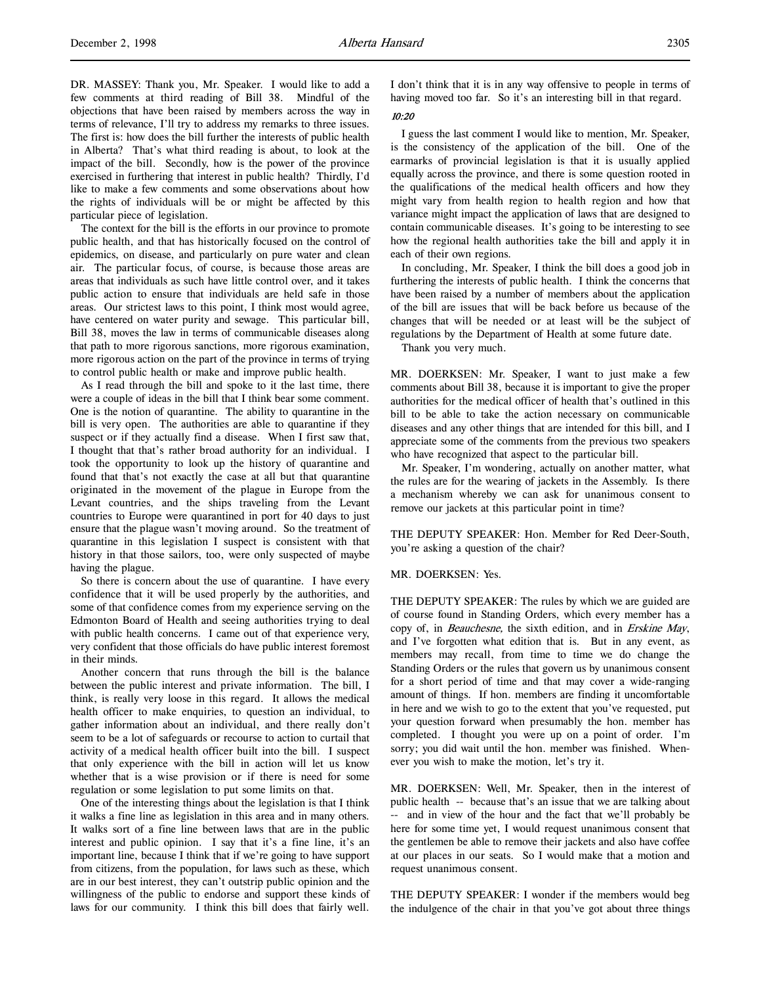DR. MASSEY: Thank you, Mr. Speaker. I would like to add a few comments at third reading of Bill 38. Mindful of the objections that have been raised by members across the way in terms of relevance, I'll try to address my remarks to three issues. The first is: how does the bill further the interests of public health in Alberta? That's what third reading is about, to look at the impact of the bill. Secondly, how is the power of the province exercised in furthering that interest in public health? Thirdly, I'd like to make a few comments and some observations about how the rights of individuals will be or might be affected by this particular piece of legislation.

The context for the bill is the efforts in our province to promote public health, and that has historically focused on the control of epidemics, on disease, and particularly on pure water and clean air. The particular focus, of course, is because those areas are areas that individuals as such have little control over, and it takes public action to ensure that individuals are held safe in those areas. Our strictest laws to this point, I think most would agree, have centered on water purity and sewage. This particular bill, Bill 38, moves the law in terms of communicable diseases along that path to more rigorous sanctions, more rigorous examination, more rigorous action on the part of the province in terms of trying to control public health or make and improve public health.

As I read through the bill and spoke to it the last time, there were a couple of ideas in the bill that I think bear some comment. One is the notion of quarantine. The ability to quarantine in the bill is very open. The authorities are able to quarantine if they suspect or if they actually find a disease. When I first saw that, I thought that that's rather broad authority for an individual. I took the opportunity to look up the history of quarantine and found that that's not exactly the case at all but that quarantine originated in the movement of the plague in Europe from the Levant countries, and the ships traveling from the Levant countries to Europe were quarantined in port for 40 days to just ensure that the plague wasn't moving around. So the treatment of quarantine in this legislation I suspect is consistent with that history in that those sailors, too, were only suspected of maybe having the plague.

So there is concern about the use of quarantine. I have every confidence that it will be used properly by the authorities, and some of that confidence comes from my experience serving on the Edmonton Board of Health and seeing authorities trying to deal with public health concerns. I came out of that experience very, very confident that those officials do have public interest foremost in their minds.

Another concern that runs through the bill is the balance between the public interest and private information. The bill, I think, is really very loose in this regard. It allows the medical health officer to make enquiries, to question an individual, to gather information about an individual, and there really don't seem to be a lot of safeguards or recourse to action to curtail that activity of a medical health officer built into the bill. I suspect that only experience with the bill in action will let us know whether that is a wise provision or if there is need for some regulation or some legislation to put some limits on that.

One of the interesting things about the legislation is that I think it walks a fine line as legislation in this area and in many others. It walks sort of a fine line between laws that are in the public interest and public opinion. I say that it's a fine line, it's an important line, because I think that if we're going to have support from citizens, from the population, for laws such as these, which are in our best interest, they can't outstrip public opinion and the willingness of the public to endorse and support these kinds of laws for our community. I think this bill does that fairly well.

I don't think that it is in any way offensive to people in terms of having moved too far. So it's an interesting bill in that regard.

## 10:20

I guess the last comment I would like to mention, Mr. Speaker, is the consistency of the application of the bill. One of the earmarks of provincial legislation is that it is usually applied equally across the province, and there is some question rooted in the qualifications of the medical health officers and how they might vary from health region to health region and how that variance might impact the application of laws that are designed to contain communicable diseases. It's going to be interesting to see how the regional health authorities take the bill and apply it in each of their own regions.

In concluding, Mr. Speaker, I think the bill does a good job in furthering the interests of public health. I think the concerns that have been raised by a number of members about the application of the bill are issues that will be back before us because of the changes that will be needed or at least will be the subject of regulations by the Department of Health at some future date.

Thank you very much.

MR. DOERKSEN: Mr. Speaker, I want to just make a few comments about Bill 38, because it is important to give the proper authorities for the medical officer of health that's outlined in this bill to be able to take the action necessary on communicable diseases and any other things that are intended for this bill, and I appreciate some of the comments from the previous two speakers who have recognized that aspect to the particular bill.

Mr. Speaker, I'm wondering, actually on another matter, what the rules are for the wearing of jackets in the Assembly. Is there a mechanism whereby we can ask for unanimous consent to remove our jackets at this particular point in time?

THE DEPUTY SPEAKER: Hon. Member for Red Deer-South, you're asking a question of the chair?

### MR. DOERKSEN: Yes.

THE DEPUTY SPEAKER: The rules by which we are guided are of course found in Standing Orders, which every member has a copy of, in Beauchesne, the sixth edition, and in Erskine May, and I've forgotten what edition that is. But in any event, as members may recall, from time to time we do change the Standing Orders or the rules that govern us by unanimous consent for a short period of time and that may cover a wide-ranging amount of things. If hon. members are finding it uncomfortable in here and we wish to go to the extent that you've requested, put your question forward when presumably the hon. member has completed. I thought you were up on a point of order. I'm sorry; you did wait until the hon. member was finished. Whenever you wish to make the motion, let's try it.

MR. DOERKSEN: Well, Mr. Speaker, then in the interest of public health -- because that's an issue that we are talking about -- and in view of the hour and the fact that we'll probably be here for some time yet, I would request unanimous consent that the gentlemen be able to remove their jackets and also have coffee at our places in our seats. So I would make that a motion and request unanimous consent.

THE DEPUTY SPEAKER: I wonder if the members would beg the indulgence of the chair in that you've got about three things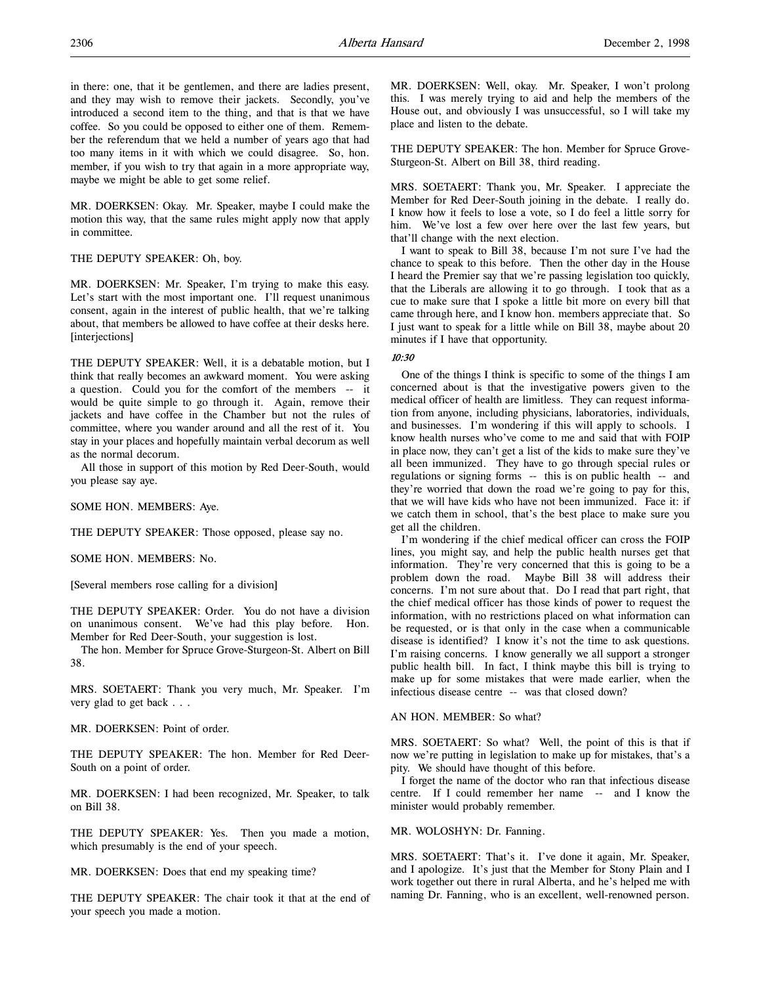in there: one, that it be gentlemen, and there are ladies present, and they may wish to remove their jackets. Secondly, you've introduced a second item to the thing, and that is that we have coffee. So you could be opposed to either one of them. Remember the referendum that we held a number of years ago that had too many items in it with which we could disagree. So, hon. member, if you wish to try that again in a more appropriate way, maybe we might be able to get some relief.

MR. DOERKSEN: Okay. Mr. Speaker, maybe I could make the motion this way, that the same rules might apply now that apply in committee.

### THE DEPUTY SPEAKER: Oh, boy.

MR. DOERKSEN: Mr. Speaker, I'm trying to make this easy. Let's start with the most important one. I'll request unanimous consent, again in the interest of public health, that we're talking about, that members be allowed to have coffee at their desks here. [interjections]

THE DEPUTY SPEAKER: Well, it is a debatable motion, but I think that really becomes an awkward moment. You were asking a question. Could you for the comfort of the members -- it would be quite simple to go through it. Again, remove their jackets and have coffee in the Chamber but not the rules of committee, where you wander around and all the rest of it. You stay in your places and hopefully maintain verbal decorum as well as the normal decorum.

All those in support of this motion by Red Deer-South, would you please say aye.

SOME HON. MEMBERS: Aye.

THE DEPUTY SPEAKER: Those opposed, please say no.

SOME HON. MEMBERS: No.

[Several members rose calling for a division]

THE DEPUTY SPEAKER: Order. You do not have a division on unanimous consent. We've had this play before. Hon. Member for Red Deer-South, your suggestion is lost.

The hon. Member for Spruce Grove-Sturgeon-St. Albert on Bill 38.

MRS. SOETAERT: Thank you very much, Mr. Speaker. I'm very glad to get back . . .

MR. DOERKSEN: Point of order.

THE DEPUTY SPEAKER: The hon. Member for Red Deer-South on a point of order.

MR. DOERKSEN: I had been recognized, Mr. Speaker, to talk on Bill 38.

THE DEPUTY SPEAKER: Yes. Then you made a motion, which presumably is the end of your speech.

MR. DOERKSEN: Does that end my speaking time?

THE DEPUTY SPEAKER: The chair took it that at the end of your speech you made a motion.

MR. DOERKSEN: Well, okay. Mr. Speaker, I won't prolong this. I was merely trying to aid and help the members of the House out, and obviously I was unsuccessful, so I will take my place and listen to the debate.

THE DEPUTY SPEAKER: The hon. Member for Spruce Grove-Sturgeon-St. Albert on Bill 38, third reading.

MRS. SOETAERT: Thank you, Mr. Speaker. I appreciate the Member for Red Deer-South joining in the debate. I really do. I know how it feels to lose a vote, so I do feel a little sorry for him. We've lost a few over here over the last few years, but that'll change with the next election.

I want to speak to Bill 38, because I'm not sure I've had the chance to speak to this before. Then the other day in the House I heard the Premier say that we're passing legislation too quickly, that the Liberals are allowing it to go through. I took that as a cue to make sure that I spoke a little bit more on every bill that came through here, and I know hon. members appreciate that. So I just want to speak for a little while on Bill 38, maybe about 20 minutes if I have that opportunity.

### 10:30

One of the things I think is specific to some of the things I am concerned about is that the investigative powers given to the medical officer of health are limitless. They can request information from anyone, including physicians, laboratories, individuals, and businesses. I'm wondering if this will apply to schools. I know health nurses who've come to me and said that with FOIP in place now, they can't get a list of the kids to make sure they've all been immunized. They have to go through special rules or regulations or signing forms -- this is on public health -- and they're worried that down the road we're going to pay for this, that we will have kids who have not been immunized. Face it: if we catch them in school, that's the best place to make sure you get all the children.

I'm wondering if the chief medical officer can cross the FOIP lines, you might say, and help the public health nurses get that information. They're very concerned that this is going to be a problem down the road. Maybe Bill 38 will address their concerns. I'm not sure about that. Do I read that part right, that the chief medical officer has those kinds of power to request the information, with no restrictions placed on what information can be requested, or is that only in the case when a communicable disease is identified? I know it's not the time to ask questions. I'm raising concerns. I know generally we all support a stronger public health bill. In fact, I think maybe this bill is trying to make up for some mistakes that were made earlier, when the infectious disease centre -- was that closed down?

AN HON. MEMBER: So what?

MRS. SOETAERT: So what? Well, the point of this is that if now we're putting in legislation to make up for mistakes, that's a pity. We should have thought of this before.

I forget the name of the doctor who ran that infectious disease centre. If I could remember her name -- and I know the minister would probably remember.

#### MR. WOLOSHYN: Dr. Fanning.

MRS. SOETAERT: That's it. I've done it again, Mr. Speaker, and I apologize. It's just that the Member for Stony Plain and I work together out there in rural Alberta, and he's helped me with naming Dr. Fanning, who is an excellent, well-renowned person.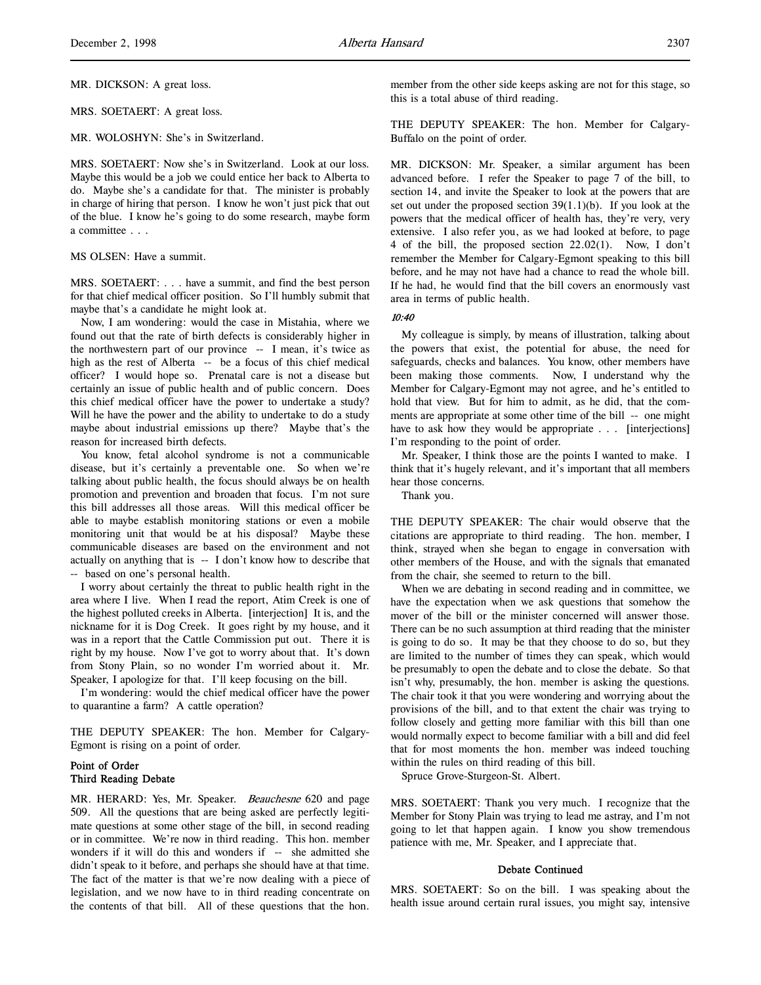MRS. SOETAERT: A great loss.

MR. WOLOSHYN: She's in Switzerland.

MRS. SOETAERT: Now she's in Switzerland. Look at our loss. Maybe this would be a job we could entice her back to Alberta to do. Maybe she's a candidate for that. The minister is probably in charge of hiring that person. I know he won't just pick that out of the blue. I know he's going to do some research, maybe form a committee . . .

#### MS OLSEN: Have a summit.

MRS. SOETAERT: . . . have a summit, and find the best person for that chief medical officer position. So I'll humbly submit that maybe that's a candidate he might look at.

Now, I am wondering: would the case in Mistahia, where we found out that the rate of birth defects is considerably higher in the northwestern part of our province -- I mean, it's twice as high as the rest of Alberta -- be a focus of this chief medical officer? I would hope so. Prenatal care is not a disease but certainly an issue of public health and of public concern. Does this chief medical officer have the power to undertake a study? Will he have the power and the ability to undertake to do a study maybe about industrial emissions up there? Maybe that's the reason for increased birth defects.

You know, fetal alcohol syndrome is not a communicable disease, but it's certainly a preventable one. So when we're talking about public health, the focus should always be on health promotion and prevention and broaden that focus. I'm not sure this bill addresses all those areas. Will this medical officer be able to maybe establish monitoring stations or even a mobile monitoring unit that would be at his disposal? Maybe these communicable diseases are based on the environment and not actually on anything that is -- I don't know how to describe that -- based on one's personal health.

I worry about certainly the threat to public health right in the area where I live. When I read the report, Atim Creek is one of the highest polluted creeks in Alberta. [interjection] It is, and the nickname for it is Dog Creek. It goes right by my house, and it was in a report that the Cattle Commission put out. There it is right by my house. Now I've got to worry about that. It's down from Stony Plain, so no wonder I'm worried about it. Mr. Speaker, I apologize for that. I'll keep focusing on the bill.

I'm wondering: would the chief medical officer have the power to quarantine a farm? A cattle operation?

THE DEPUTY SPEAKER: The hon. Member for Calgary-Egmont is rising on a point of order.

## Point of Order Third Reading Debate

MR. HERARD: Yes, Mr. Speaker. Beauchesne 620 and page 509. All the questions that are being asked are perfectly legitimate questions at some other stage of the bill, in second reading or in committee. We're now in third reading. This hon. member wonders if it will do this and wonders if -- she admitted she didn't speak to it before, and perhaps she should have at that time. The fact of the matter is that we're now dealing with a piece of legislation, and we now have to in third reading concentrate on the contents of that bill. All of these questions that the hon.

member from the other side keeps asking are not for this stage, so this is a total abuse of third reading.

THE DEPUTY SPEAKER: The hon. Member for Calgary-Buffalo on the point of order.

MR. DICKSON: Mr. Speaker, a similar argument has been advanced before. I refer the Speaker to page 7 of the bill, to section 14, and invite the Speaker to look at the powers that are set out under the proposed section  $39(1.1)(b)$ . If you look at the powers that the medical officer of health has, they're very, very extensive. I also refer you, as we had looked at before, to page 4 of the bill, the proposed section 22.02(1). Now, I don't remember the Member for Calgary-Egmont speaking to this bill before, and he may not have had a chance to read the whole bill. If he had, he would find that the bill covers an enormously vast area in terms of public health.

#### 10:40

My colleague is simply, by means of illustration, talking about the powers that exist, the potential for abuse, the need for safeguards, checks and balances. You know, other members have been making those comments. Now, I understand why the Member for Calgary-Egmont may not agree, and he's entitled to hold that view. But for him to admit, as he did, that the comments are appropriate at some other time of the bill -- one might have to ask how they would be appropriate . . . [interjections] I'm responding to the point of order.

Mr. Speaker, I think those are the points I wanted to make. I think that it's hugely relevant, and it's important that all members hear those concerns.

Thank you.

THE DEPUTY SPEAKER: The chair would observe that the citations are appropriate to third reading. The hon. member, I think, strayed when she began to engage in conversation with other members of the House, and with the signals that emanated from the chair, she seemed to return to the bill.

When we are debating in second reading and in committee, we have the expectation when we ask questions that somehow the mover of the bill or the minister concerned will answer those. There can be no such assumption at third reading that the minister is going to do so. It may be that they choose to do so, but they are limited to the number of times they can speak, which would be presumably to open the debate and to close the debate. So that isn't why, presumably, the hon. member is asking the questions. The chair took it that you were wondering and worrying about the provisions of the bill, and to that extent the chair was trying to follow closely and getting more familiar with this bill than one would normally expect to become familiar with a bill and did feel that for most moments the hon. member was indeed touching within the rules on third reading of this bill.

Spruce Grove-Sturgeon-St. Albert.

MRS. SOETAERT: Thank you very much. I recognize that the Member for Stony Plain was trying to lead me astray, and I'm not going to let that happen again. I know you show tremendous patience with me, Mr. Speaker, and I appreciate that.

#### Debate Continued

MRS. SOETAERT: So on the bill. I was speaking about the health issue around certain rural issues, you might say, intensive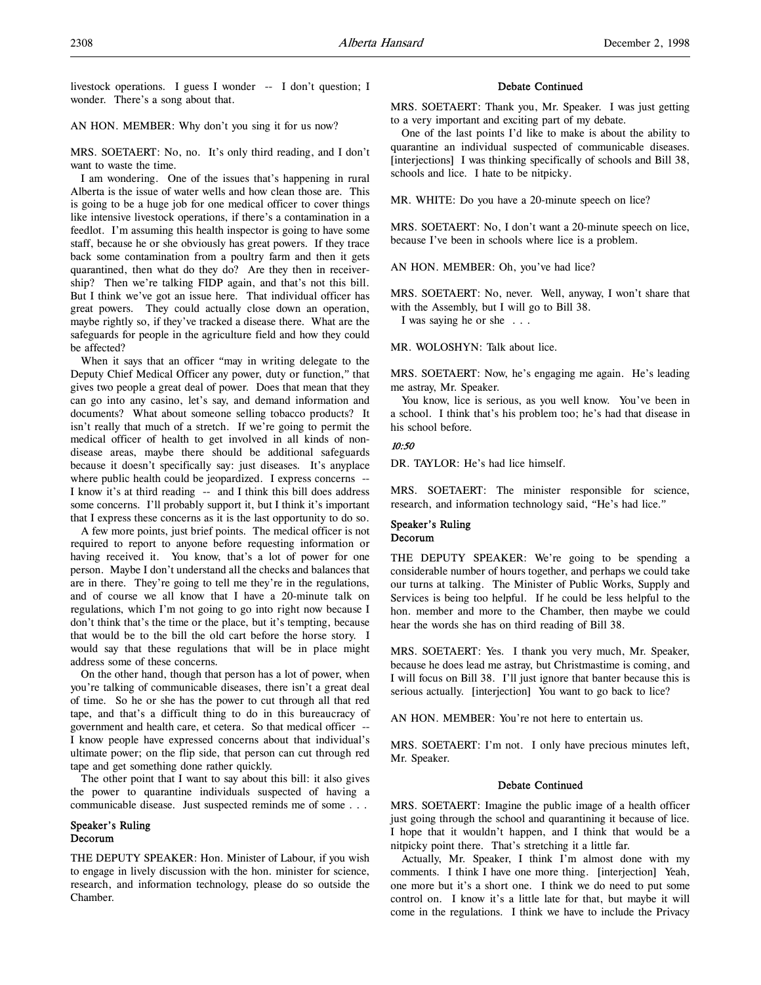livestock operations. I guess I wonder -- I don't question; I wonder. There's a song about that.

#### AN HON. MEMBER: Why don't you sing it for us now?

MRS. SOETAERT: No, no. It's only third reading, and I don't want to waste the time.

I am wondering. One of the issues that's happening in rural Alberta is the issue of water wells and how clean those are. This is going to be a huge job for one medical officer to cover things like intensive livestock operations, if there's a contamination in a feedlot. I'm assuming this health inspector is going to have some staff, because he or she obviously has great powers. If they trace back some contamination from a poultry farm and then it gets quarantined, then what do they do? Are they then in receivership? Then we're talking FIDP again, and that's not this bill. But I think we've got an issue here. That individual officer has great powers. They could actually close down an operation, maybe rightly so, if they've tracked a disease there. What are the safeguards for people in the agriculture field and how they could be affected?

When it says that an officer "may in writing delegate to the Deputy Chief Medical Officer any power, duty or function," that gives two people a great deal of power. Does that mean that they can go into any casino, let's say, and demand information and documents? What about someone selling tobacco products? It isn't really that much of a stretch. If we're going to permit the medical officer of health to get involved in all kinds of nondisease areas, maybe there should be additional safeguards because it doesn't specifically say: just diseases. It's anyplace where public health could be jeopardized. I express concerns --I know it's at third reading -- and I think this bill does address some concerns. I'll probably support it, but I think it's important that I express these concerns as it is the last opportunity to do so.

A few more points, just brief points. The medical officer is not required to report to anyone before requesting information or having received it. You know, that's a lot of power for one person. Maybe I don't understand all the checks and balances that are in there. They're going to tell me they're in the regulations, and of course we all know that I have a 20-minute talk on regulations, which I'm not going to go into right now because I don't think that's the time or the place, but it's tempting, because that would be to the bill the old cart before the horse story. I would say that these regulations that will be in place might address some of these concerns.

On the other hand, though that person has a lot of power, when you're talking of communicable diseases, there isn't a great deal of time. So he or she has the power to cut through all that red tape, and that's a difficult thing to do in this bureaucracy of government and health care, et cetera. So that medical officer -- I know people have expressed concerns about that individual's ultimate power; on the flip side, that person can cut through red tape and get something done rather quickly.

The other point that I want to say about this bill: it also gives the power to quarantine individuals suspected of having a communicable disease. Just suspected reminds me of some . . .

## Speaker's Ruling Decorum

THE DEPUTY SPEAKER: Hon. Minister of Labour, if you wish to engage in lively discussion with the hon. minister for science, research, and information technology, please do so outside the Chamber.

### Debate Continued

MRS. SOETAERT: Thank you, Mr. Speaker. I was just getting to a very important and exciting part of my debate.

One of the last points I'd like to make is about the ability to quarantine an individual suspected of communicable diseases. [interjections] I was thinking specifically of schools and Bill 38, schools and lice. I hate to be nitpicky.

MR. WHITE: Do you have a 20-minute speech on lice?

MRS. SOETAERT: No, I don't want a 20-minute speech on lice, because I've been in schools where lice is a problem.

AN HON. MEMBER: Oh, you've had lice?

MRS. SOETAERT: No, never. Well, anyway, I won't share that with the Assembly, but I will go to Bill 38.

I was saying he or she . . .

MR. WOLOSHYN: Talk about lice.

MRS. SOETAERT: Now, he's engaging me again. He's leading me astray, Mr. Speaker.

You know, lice is serious, as you well know. You've been in a school. I think that's his problem too; he's had that disease in his school before.

#### 10:50

DR. TAYLOR: He's had lice himself.

MRS. SOETAERT: The minister responsible for science, research, and information technology said, "He's had lice."

### Speaker's Ruling Decorum

THE DEPUTY SPEAKER: We're going to be spending a considerable number of hours together, and perhaps we could take our turns at talking. The Minister of Public Works, Supply and Services is being too helpful. If he could be less helpful to the hon. member and more to the Chamber, then maybe we could hear the words she has on third reading of Bill 38.

MRS. SOETAERT: Yes. I thank you very much, Mr. Speaker, because he does lead me astray, but Christmastime is coming, and I will focus on Bill 38. I'll just ignore that banter because this is serious actually. [interjection] You want to go back to lice?

AN HON. MEMBER: You're not here to entertain us.

MRS. SOETAERT: I'm not. I only have precious minutes left, Mr. Speaker.

### Debate Continued

MRS. SOETAERT: Imagine the public image of a health officer just going through the school and quarantining it because of lice. I hope that it wouldn't happen, and I think that would be a nitpicky point there. That's stretching it a little far.

Actually, Mr. Speaker, I think I'm almost done with my comments. I think I have one more thing. [interjection] Yeah, one more but it's a short one. I think we do need to put some control on. I know it's a little late for that, but maybe it will come in the regulations. I think we have to include the Privacy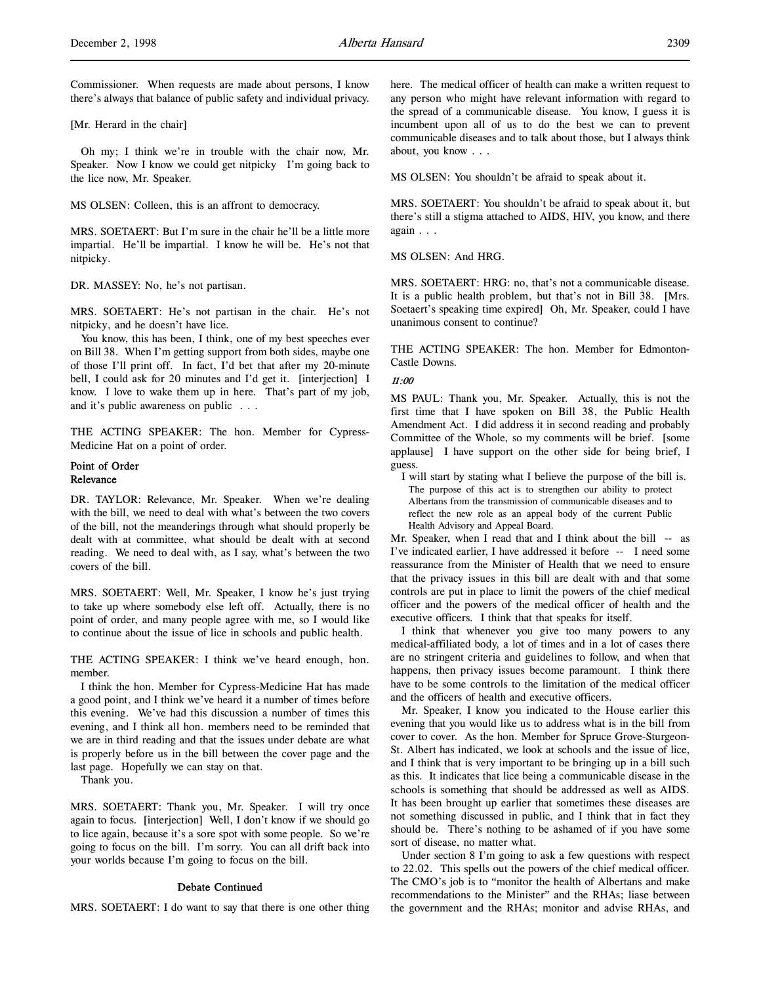Commissioner. When requests are made about persons, I know there's always that balance of public safety and individual privacy.

[Mr. Herard in the chair]

Oh my; I think we're in trouble with the chair now, Mr. Speaker. Now I know we could get nitpicky I'm going back to the lice now, Mr. Speaker.

MS OLSEN: Colleen, this is an affront to democracy.

MRS. SOETAERT: But I'm sure in the chair he'll be a little more impartial. He'll be impartial. I know he will be. He's not that nitpicky.

DR. MASSEY: No, he's not partisan.

MRS. SOETAERT: He's not partisan in the chair. He's not nitpicky, and he doesn't have lice.

You know, this has been, I think, one of my best speeches ever on Bill 38. When I'm getting support from both sides, maybe one of those I'll print off. In fact, I'd bet that after my 20-minute bell, I could ask for 20 minutes and I'd get it. [interjection] I know. I love to wake them up in here. That's part of my job, and it's public awareness on public . . .

THE ACTING SPEAKER: The hon. Member for Cypress-Medicine Hat on a point of order.

## Point of Order Relevance

DR. TAYLOR: Relevance, Mr. Speaker. When we're dealing with the bill, we need to deal with what's between the two covers of the bill, not the meanderings through what should properly be dealt with at committee, what should be dealt with at second reading. We need to deal with, as I say, what's between the two covers of the bill.

MRS. SOETAERT: Well, Mr. Speaker, I know he's just trying to take up where somebody else left off. Actually, there is no point of order, and many people agree with me, so I would like to continue about the issue of lice in schools and public health.

THE ACTING SPEAKER: I think we've heard enough, hon. member.

I think the hon. Member for Cypress-Medicine Hat has made a good point, and I think we've heard it a number of times before this evening. We've had this discussion a number of times this evening, and I think all hon. members need to be reminded that we are in third reading and that the issues under debate are what is properly before us in the bill between the cover page and the last page. Hopefully we can stay on that.

Thank you.

MRS. SOETAERT: Thank you, Mr. Speaker. I will try once again to focus. [interjection] Well, I don't know if we should go to lice again, because it's a sore spot with some people. So we're going to focus on the bill. I'm sorry. You can all drift back into your worlds because I'm going to focus on the bill.

### Debate Continued

MRS. SOETAERT: I do want to say that there is one other thing

here. The medical officer of health can make a written request to any person who might have relevant information with regard to the spread of a communicable disease. You know, I guess it is incumbent upon all of us to do the best we can to prevent communicable diseases and to talk about those, but I always think about, you know . . .

MS OLSEN: You shouldn't be afraid to speak about it.

MRS. SOETAERT: You shouldn't be afraid to speak about it, but there's still a stigma attached to AIDS, HIV, you know, and there again . . .

MS OLSEN: And HRG.

MRS. SOETAERT: HRG: no, that's not a communicable disease. It is a public health problem, but that's not in Bill 38. [Mrs. Soetaert's speaking time expired] Oh, Mr. Speaker, could I have unanimous consent to continue?

THE ACTING SPEAKER: The hon. Member for Edmonton-Castle Downs.

#### 11:00

MS PAUL: Thank you, Mr. Speaker. Actually, this is not the first time that I have spoken on Bill 38, the Public Health Amendment Act. I did address it in second reading and probably Committee of the Whole, so my comments will be brief. [some applause] I have support on the other side for being brief, I guess.

I will start by stating what I believe the purpose of the bill is. The purpose of this act is to strengthen our ability to protect Albertans from the transmission of communicable diseases and to reflect the new role as an appeal body of the current Public Health Advisory and Appeal Board.

Mr. Speaker, when I read that and I think about the bill -- as I've indicated earlier, I have addressed it before -- I need some reassurance from the Minister of Health that we need to ensure that the privacy issues in this bill are dealt with and that some controls are put in place to limit the powers of the chief medical officer and the powers of the medical officer of health and the executive officers. I think that that speaks for itself.

I think that whenever you give too many powers to any medical-affiliated body, a lot of times and in a lot of cases there are no stringent criteria and guidelines to follow, and when that happens, then privacy issues become paramount. I think there have to be some controls to the limitation of the medical officer and the officers of health and executive officers.

Mr. Speaker, I know you indicated to the House earlier this evening that you would like us to address what is in the bill from cover to cover. As the hon. Member for Spruce Grove-Sturgeon-St. Albert has indicated, we look at schools and the issue of lice, and I think that is very important to be bringing up in a bill such as this. It indicates that lice being a communicable disease in the schools is something that should be addressed as well as AIDS. It has been brought up earlier that sometimes these diseases are not something discussed in public, and I think that in fact they should be. There's nothing to be ashamed of if you have some sort of disease, no matter what.

Under section 8 I'm going to ask a few questions with respect to 22.02. This spells out the powers of the chief medical officer. The CMO's job is to "monitor the health of Albertans and make recommendations to the Minister" and the RHAs; liase between the government and the RHAs; monitor and advise RHAs, and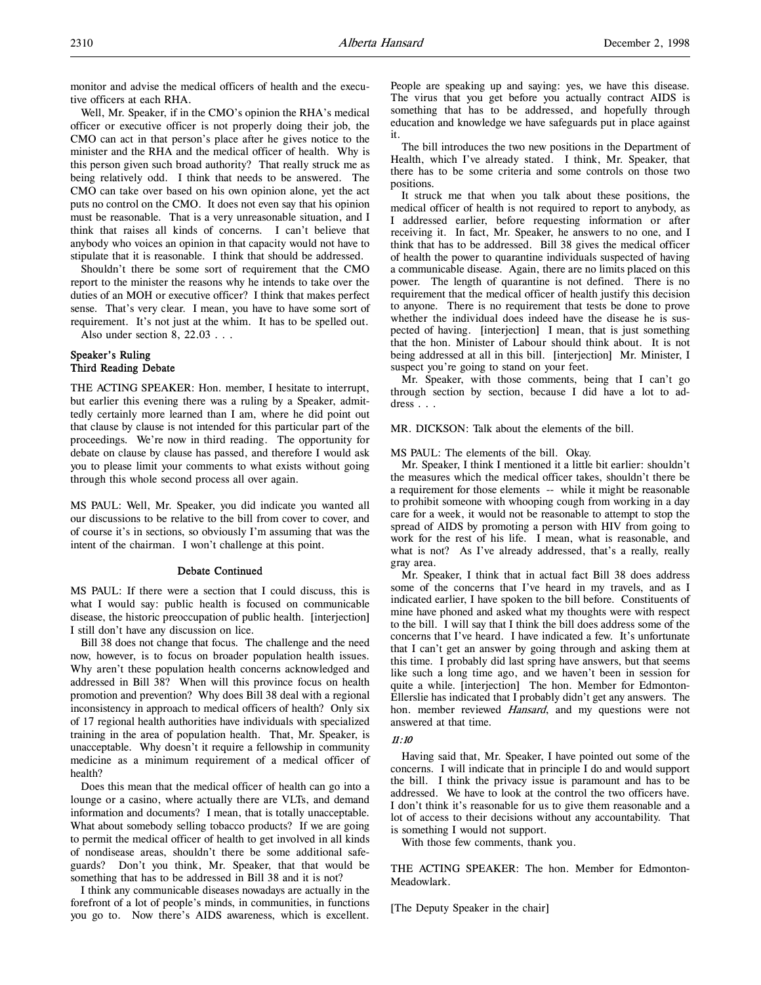monitor and advise the medical officers of health and the executive officers at each RHA.

Well, Mr. Speaker, if in the CMO's opinion the RHA's medical officer or executive officer is not properly doing their job, the CMO can act in that person's place after he gives notice to the minister and the RHA and the medical officer of health. Why is this person given such broad authority? That really struck me as being relatively odd. I think that needs to be answered. The CMO can take over based on his own opinion alone, yet the act puts no control on the CMO. It does not even say that his opinion must be reasonable. That is a very unreasonable situation, and I think that raises all kinds of concerns. I can't believe that anybody who voices an opinion in that capacity would not have to stipulate that it is reasonable. I think that should be addressed.

Shouldn't there be some sort of requirement that the CMO report to the minister the reasons why he intends to take over the duties of an MOH or executive officer? I think that makes perfect sense. That's very clear. I mean, you have to have some sort of requirement. It's not just at the whim. It has to be spelled out.

Also under section 8, 22.03 . . .

## Speaker's Ruling Third Reading Debate

THE ACTING SPEAKER: Hon. member, I hesitate to interrupt, but earlier this evening there was a ruling by a Speaker, admittedly certainly more learned than I am, where he did point out that clause by clause is not intended for this particular part of the proceedings. We're now in third reading. The opportunity for debate on clause by clause has passed, and therefore I would ask you to please limit your comments to what exists without going through this whole second process all over again.

MS PAUL: Well, Mr. Speaker, you did indicate you wanted all our discussions to be relative to the bill from cover to cover, and of course it's in sections, so obviously I'm assuming that was the intent of the chairman. I won't challenge at this point.

#### Debate Continued

MS PAUL: If there were a section that I could discuss, this is what I would say: public health is focused on communicable disease, the historic preoccupation of public health. [interjection] I still don't have any discussion on lice.

Bill 38 does not change that focus. The challenge and the need now, however, is to focus on broader population health issues. Why aren't these population health concerns acknowledged and addressed in Bill 38? When will this province focus on health promotion and prevention? Why does Bill 38 deal with a regional inconsistency in approach to medical officers of health? Only six of 17 regional health authorities have individuals with specialized training in the area of population health. That, Mr. Speaker, is unacceptable. Why doesn't it require a fellowship in community medicine as a minimum requirement of a medical officer of health?

Does this mean that the medical officer of health can go into a lounge or a casino, where actually there are VLTs, and demand information and documents? I mean, that is totally unacceptable. What about somebody selling tobacco products? If we are going to permit the medical officer of health to get involved in all kinds of nondisease areas, shouldn't there be some additional safeguards? Don't you think, Mr. Speaker, that that would be something that has to be addressed in Bill 38 and it is not?

I think any communicable diseases nowadays are actually in the forefront of a lot of people's minds, in communities, in functions you go to. Now there's AIDS awareness, which is excellent.

People are speaking up and saying: yes, we have this disease. The virus that you get before you actually contract AIDS is something that has to be addressed, and hopefully through education and knowledge we have safeguards put in place against it.

The bill introduces the two new positions in the Department of Health, which I've already stated. I think, Mr. Speaker, that there has to be some criteria and some controls on those two positions.

It struck me that when you talk about these positions, the medical officer of health is not required to report to anybody, as I addressed earlier, before requesting information or after receiving it. In fact, Mr. Speaker, he answers to no one, and I think that has to be addressed. Bill 38 gives the medical officer of health the power to quarantine individuals suspected of having a communicable disease. Again, there are no limits placed on this power. The length of quarantine is not defined. There is no requirement that the medical officer of health justify this decision to anyone. There is no requirement that tests be done to prove whether the individual does indeed have the disease he is suspected of having. [interjection] I mean, that is just something that the hon. Minister of Labour should think about. It is not being addressed at all in this bill. [interjection] Mr. Minister, I suspect you're going to stand on your feet.

Mr. Speaker, with those comments, being that I can't go through section by section, because I did have a lot to address . . .

MR. DICKSON: Talk about the elements of the bill.

MS PAUL: The elements of the bill. Okay.

Mr. Speaker, I think I mentioned it a little bit earlier: shouldn't the measures which the medical officer takes, shouldn't there be a requirement for those elements -- while it might be reasonable to prohibit someone with whooping cough from working in a day care for a week, it would not be reasonable to attempt to stop the spread of AIDS by promoting a person with HIV from going to work for the rest of his life. I mean, what is reasonable, and what is not? As I've already addressed, that's a really, really gray area.

Mr. Speaker, I think that in actual fact Bill 38 does address some of the concerns that I've heard in my travels, and as I indicated earlier, I have spoken to the bill before. Constituents of mine have phoned and asked what my thoughts were with respect to the bill. I will say that I think the bill does address some of the concerns that I've heard. I have indicated a few. It's unfortunate that I can't get an answer by going through and asking them at this time. I probably did last spring have answers, but that seems like such a long time ago, and we haven't been in session for quite a while. [interjection] The hon. Member for Edmonton-Ellerslie has indicated that I probably didn't get any answers. The hon. member reviewed Hansard, and my questions were not answered at that time.

### 11:10

Having said that, Mr. Speaker, I have pointed out some of the concerns. I will indicate that in principle I do and would support the bill. I think the privacy issue is paramount and has to be addressed. We have to look at the control the two officers have. I don't think it's reasonable for us to give them reasonable and a lot of access to their decisions without any accountability. That is something I would not support.

With those few comments, thank you.

THE ACTING SPEAKER: The hon. Member for Edmonton-Meadowlark.

[The Deputy Speaker in the chair]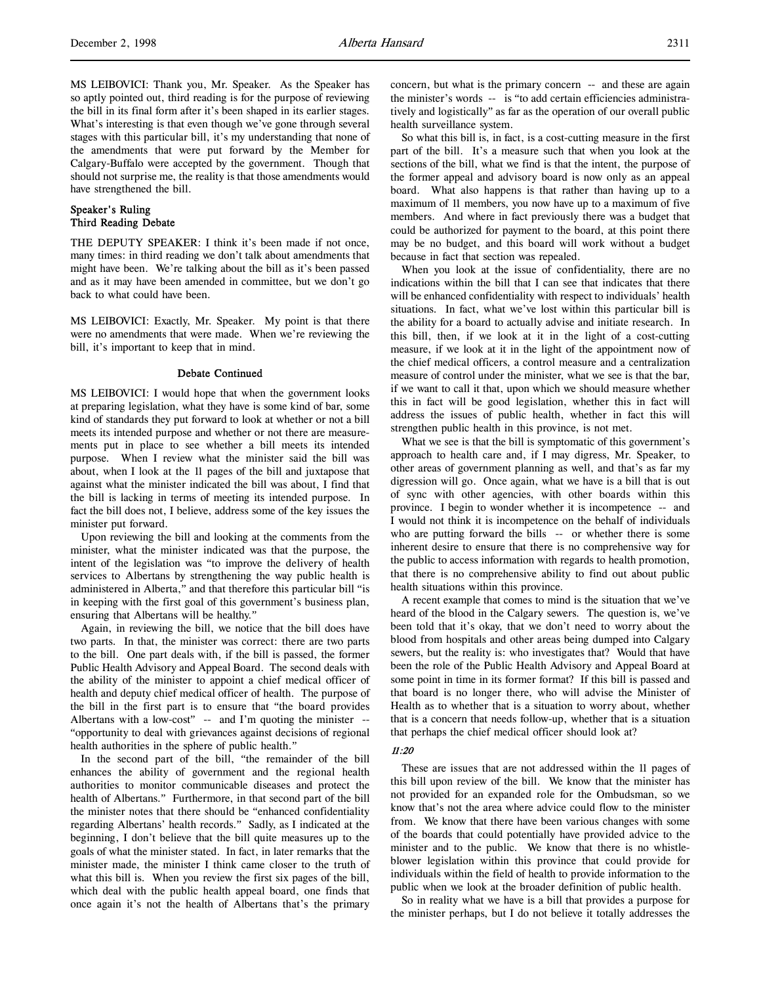MS LEIBOVICI: Thank you, Mr. Speaker. As the Speaker has so aptly pointed out, third reading is for the purpose of reviewing the bill in its final form after it's been shaped in its earlier stages. What's interesting is that even though we've gone through several stages with this particular bill, it's my understanding that none of the amendments that were put forward by the Member for Calgary-Buffalo were accepted by the government. Though that should not surprise me, the reality is that those amendments would have strengthened the bill.

## Speaker's Ruling Third Reading Debate

THE DEPUTY SPEAKER: I think it's been made if not once, many times: in third reading we don't talk about amendments that might have been. We're talking about the bill as it's been passed and as it may have been amended in committee, but we don't go back to what could have been.

MS LEIBOVICI: Exactly, Mr. Speaker. My point is that there were no amendments that were made. When we're reviewing the bill, it's important to keep that in mind.

#### Debate Continued

MS LEIBOVICI: I would hope that when the government looks at preparing legislation, what they have is some kind of bar, some kind of standards they put forward to look at whether or not a bill meets its intended purpose and whether or not there are measurements put in place to see whether a bill meets its intended purpose. When I review what the minister said the bill was about, when I look at the 11 pages of the bill and juxtapose that against what the minister indicated the bill was about, I find that the bill is lacking in terms of meeting its intended purpose. In fact the bill does not, I believe, address some of the key issues the minister put forward.

Upon reviewing the bill and looking at the comments from the minister, what the minister indicated was that the purpose, the intent of the legislation was "to improve the delivery of health services to Albertans by strengthening the way public health is administered in Alberta," and that therefore this particular bill "is in keeping with the first goal of this government's business plan, ensuring that Albertans will be healthy."

Again, in reviewing the bill, we notice that the bill does have two parts. In that, the minister was correct: there are two parts to the bill. One part deals with, if the bill is passed, the former Public Health Advisory and Appeal Board. The second deals with the ability of the minister to appoint a chief medical officer of health and deputy chief medical officer of health. The purpose of the bill in the first part is to ensure that "the board provides Albertans with a low-cost" -- and I'm quoting the minister --"opportunity to deal with grievances against decisions of regional health authorities in the sphere of public health."

In the second part of the bill, "the remainder of the bill enhances the ability of government and the regional health authorities to monitor communicable diseases and protect the health of Albertans." Furthermore, in that second part of the bill the minister notes that there should be "enhanced confidentiality regarding Albertans' health records." Sadly, as I indicated at the beginning, I don't believe that the bill quite measures up to the goals of what the minister stated. In fact, in later remarks that the minister made, the minister I think came closer to the truth of what this bill is. When you review the first six pages of the bill, which deal with the public health appeal board, one finds that once again it's not the health of Albertans that's the primary

concern, but what is the primary concern -- and these are again the minister's words -- is "to add certain efficiencies administratively and logistically" as far as the operation of our overall public health surveillance system.

So what this bill is, in fact, is a cost-cutting measure in the first part of the bill. It's a measure such that when you look at the sections of the bill, what we find is that the intent, the purpose of the former appeal and advisory board is now only as an appeal board. What also happens is that rather than having up to a maximum of 11 members, you now have up to a maximum of five members. And where in fact previously there was a budget that could be authorized for payment to the board, at this point there may be no budget, and this board will work without a budget because in fact that section was repealed.

When you look at the issue of confidentiality, there are no indications within the bill that I can see that indicates that there will be enhanced confidentiality with respect to individuals' health situations. In fact, what we've lost within this particular bill is the ability for a board to actually advise and initiate research. In this bill, then, if we look at it in the light of a cost-cutting measure, if we look at it in the light of the appointment now of the chief medical officers, a control measure and a centralization measure of control under the minister, what we see is that the bar, if we want to call it that, upon which we should measure whether this in fact will be good legislation, whether this in fact will address the issues of public health, whether in fact this will strengthen public health in this province, is not met.

What we see is that the bill is symptomatic of this government's approach to health care and, if I may digress, Mr. Speaker, to other areas of government planning as well, and that's as far my digression will go. Once again, what we have is a bill that is out of sync with other agencies, with other boards within this province. I begin to wonder whether it is incompetence -- and I would not think it is incompetence on the behalf of individuals who are putting forward the bills -- or whether there is some inherent desire to ensure that there is no comprehensive way for the public to access information with regards to health promotion, that there is no comprehensive ability to find out about public health situations within this province.

A recent example that comes to mind is the situation that we've heard of the blood in the Calgary sewers. The question is, we've been told that it's okay, that we don't need to worry about the blood from hospitals and other areas being dumped into Calgary sewers, but the reality is: who investigates that? Would that have been the role of the Public Health Advisory and Appeal Board at some point in time in its former format? If this bill is passed and that board is no longer there, who will advise the Minister of Health as to whether that is a situation to worry about, whether that is a concern that needs follow-up, whether that is a situation that perhaps the chief medical officer should look at?

### 11:20

These are issues that are not addressed within the 11 pages of this bill upon review of the bill. We know that the minister has not provided for an expanded role for the Ombudsman, so we know that's not the area where advice could flow to the minister from. We know that there have been various changes with some of the boards that could potentially have provided advice to the minister and to the public. We know that there is no whistleblower legislation within this province that could provide for individuals within the field of health to provide information to the public when we look at the broader definition of public health.

So in reality what we have is a bill that provides a purpose for the minister perhaps, but I do not believe it totally addresses the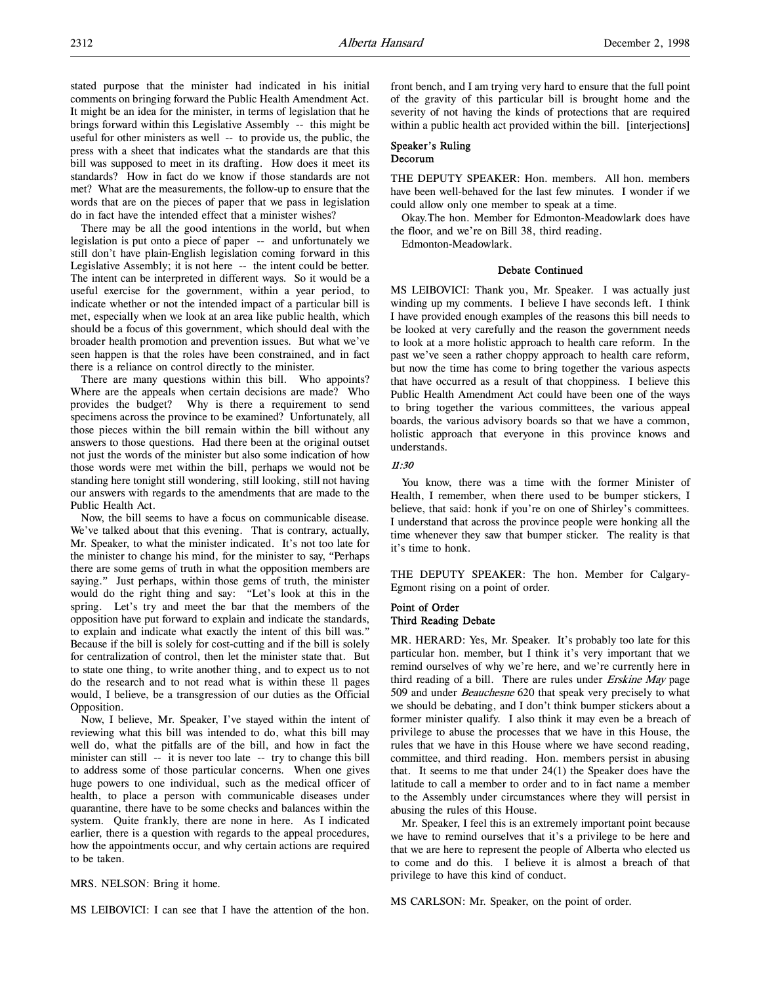stated purpose that the minister had indicated in his initial comments on bringing forward the Public Health Amendment Act. It might be an idea for the minister, in terms of legislation that he brings forward within this Legislative Assembly -- this might be useful for other ministers as well -- to provide us, the public, the press with a sheet that indicates what the standards are that this bill was supposed to meet in its drafting. How does it meet its standards? How in fact do we know if those standards are not met? What are the measurements, the follow-up to ensure that the words that are on the pieces of paper that we pass in legislation do in fact have the intended effect that a minister wishes?

There may be all the good intentions in the world, but when legislation is put onto a piece of paper -- and unfortunately we still don't have plain-English legislation coming forward in this Legislative Assembly; it is not here -- the intent could be better. The intent can be interpreted in different ways. So it would be a useful exercise for the government, within a year period, to indicate whether or not the intended impact of a particular bill is met, especially when we look at an area like public health, which should be a focus of this government, which should deal with the broader health promotion and prevention issues. But what we've seen happen is that the roles have been constrained, and in fact there is a reliance on control directly to the minister.

There are many questions within this bill. Who appoints? Where are the appeals when certain decisions are made? Who provides the budget? Why is there a requirement to send specimens across the province to be examined? Unfortunately, all those pieces within the bill remain within the bill without any answers to those questions. Had there been at the original outset not just the words of the minister but also some indication of how those words were met within the bill, perhaps we would not be standing here tonight still wondering, still looking, still not having our answers with regards to the amendments that are made to the Public Health Act.

Now, the bill seems to have a focus on communicable disease. We've talked about that this evening. That is contrary, actually, Mr. Speaker, to what the minister indicated. It's not too late for the minister to change his mind, for the minister to say, "Perhaps there are some gems of truth in what the opposition members are saying." Just perhaps, within those gems of truth, the minister would do the right thing and say: "Let's look at this in the spring. Let's try and meet the bar that the members of the opposition have put forward to explain and indicate the standards, to explain and indicate what exactly the intent of this bill was." Because if the bill is solely for cost-cutting and if the bill is solely for centralization of control, then let the minister state that. But to state one thing, to write another thing, and to expect us to not do the research and to not read what is within these 11 pages would, I believe, be a transgression of our duties as the Official Opposition.

Now, I believe, Mr. Speaker, I've stayed within the intent of reviewing what this bill was intended to do, what this bill may well do, what the pitfalls are of the bill, and how in fact the minister can still -- it is never too late -- try to change this bill to address some of those particular concerns. When one gives huge powers to one individual, such as the medical officer of health, to place a person with communicable diseases under quarantine, there have to be some checks and balances within the system. Quite frankly, there are none in here. As I indicated earlier, there is a question with regards to the appeal procedures, how the appointments occur, and why certain actions are required to be taken.

MRS. NELSON: Bring it home.

MS LEIBOVICI: I can see that I have the attention of the hon.

front bench, and I am trying very hard to ensure that the full point of the gravity of this particular bill is brought home and the severity of not having the kinds of protections that are required within a public health act provided within the bill. [interjections]

## Speaker's Ruling Decorum

THE DEPUTY SPEAKER: Hon. members. All hon. members have been well-behaved for the last few minutes. I wonder if we could allow only one member to speak at a time.

Okay.The hon. Member for Edmonton-Meadowlark does have the floor, and we're on Bill 38, third reading.

Edmonton-Meadowlark.

## Debate Continued

MS LEIBOVICI: Thank you, Mr. Speaker. I was actually just winding up my comments. I believe I have seconds left. I think I have provided enough examples of the reasons this bill needs to be looked at very carefully and the reason the government needs to look at a more holistic approach to health care reform. In the past we've seen a rather choppy approach to health care reform, but now the time has come to bring together the various aspects that have occurred as a result of that choppiness. I believe this Public Health Amendment Act could have been one of the ways to bring together the various committees, the various appeal boards, the various advisory boards so that we have a common, holistic approach that everyone in this province knows and understands.

### 11:30

You know, there was a time with the former Minister of Health, I remember, when there used to be bumper stickers, I believe, that said: honk if you're on one of Shirley's committees. I understand that across the province people were honking all the time whenever they saw that bumper sticker. The reality is that it's time to honk.

THE DEPUTY SPEAKER: The hon. Member for Calgary-Egmont rising on a point of order.

## Point of Order Third Reading Debate

MR. HERARD: Yes, Mr. Speaker. It's probably too late for this particular hon. member, but I think it's very important that we remind ourselves of why we're here, and we're currently here in third reading of a bill. There are rules under *Erskine May* page 509 and under Beauchesne 620 that speak very precisely to what we should be debating, and I don't think bumper stickers about a former minister qualify. I also think it may even be a breach of privilege to abuse the processes that we have in this House, the rules that we have in this House where we have second reading, committee, and third reading. Hon. members persist in abusing that. It seems to me that under 24(1) the Speaker does have the latitude to call a member to order and to in fact name a member to the Assembly under circumstances where they will persist in abusing the rules of this House.

Mr. Speaker, I feel this is an extremely important point because we have to remind ourselves that it's a privilege to be here and that we are here to represent the people of Alberta who elected us to come and do this. I believe it is almost a breach of that privilege to have this kind of conduct.

MS CARLSON: Mr. Speaker, on the point of order.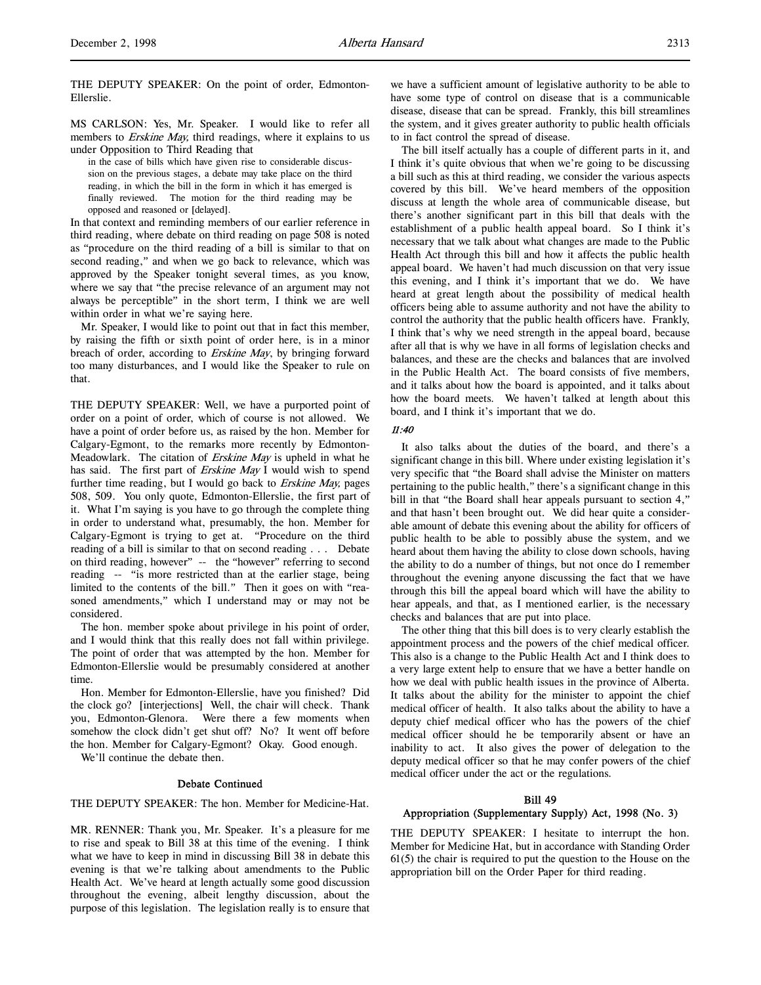THE DEPUTY SPEAKER: On the point of order, Edmonton-Ellerslie.

MS CARLSON: Yes, Mr. Speaker. I would like to refer all members to *Erskine May*, third readings, where it explains to us under Opposition to Third Reading that

in the case of bills which have given rise to considerable discussion on the previous stages, a debate may take place on the third reading, in which the bill in the form in which it has emerged is finally reviewed. The motion for the third reading may be opposed and reasoned or [delayed].

In that context and reminding members of our earlier reference in third reading, where debate on third reading on page 508 is noted as "procedure on the third reading of a bill is similar to that on second reading," and when we go back to relevance, which was approved by the Speaker tonight several times, as you know, where we say that "the precise relevance of an argument may not always be perceptible" in the short term, I think we are well within order in what we're saying here.

Mr. Speaker, I would like to point out that in fact this member, by raising the fifth or sixth point of order here, is in a minor breach of order, according to *Erskine May*, by bringing forward too many disturbances, and I would like the Speaker to rule on that.

THE DEPUTY SPEAKER: Well, we have a purported point of order on a point of order, which of course is not allowed. We have a point of order before us, as raised by the hon. Member for Calgary-Egmont, to the remarks more recently by Edmonton-Meadowlark. The citation of Erskine May is upheld in what he has said. The first part of Erskine May I would wish to spend further time reading, but I would go back to Erskine May, pages 508, 509. You only quote, Edmonton-Ellerslie, the first part of it. What I'm saying is you have to go through the complete thing in order to understand what, presumably, the hon. Member for Calgary-Egmont is trying to get at. "Procedure on the third reading of a bill is similar to that on second reading . . . Debate on third reading, however" -- the "however" referring to second reading -- "is more restricted than at the earlier stage, being limited to the contents of the bill." Then it goes on with "reasoned amendments," which I understand may or may not be considered.

The hon. member spoke about privilege in his point of order, and I would think that this really does not fall within privilege. The point of order that was attempted by the hon. Member for Edmonton-Ellerslie would be presumably considered at another time.

Hon. Member for Edmonton-Ellerslie, have you finished? Did the clock go? [interjections] Well, the chair will check. Thank you, Edmonton-Glenora. Were there a few moments when somehow the clock didn't get shut off? No? It went off before the hon. Member for Calgary-Egmont? Okay. Good enough.

We'll continue the debate then.

#### Debate Continued

THE DEPUTY SPEAKER: The hon. Member for Medicine-Hat.

MR. RENNER: Thank you, Mr. Speaker. It's a pleasure for me to rise and speak to Bill 38 at this time of the evening. I think what we have to keep in mind in discussing Bill 38 in debate this evening is that we're talking about amendments to the Public Health Act. We've heard at length actually some good discussion throughout the evening, albeit lengthy discussion, about the purpose of this legislation. The legislation really is to ensure that

we have a sufficient amount of legislative authority to be able to have some type of control on disease that is a communicable disease, disease that can be spread. Frankly, this bill streamlines the system, and it gives greater authority to public health officials to in fact control the spread of disease.

The bill itself actually has a couple of different parts in it, and I think it's quite obvious that when we're going to be discussing a bill such as this at third reading, we consider the various aspects covered by this bill. We've heard members of the opposition discuss at length the whole area of communicable disease, but there's another significant part in this bill that deals with the establishment of a public health appeal board. So I think it's necessary that we talk about what changes are made to the Public Health Act through this bill and how it affects the public health appeal board. We haven't had much discussion on that very issue this evening, and I think it's important that we do. We have heard at great length about the possibility of medical health officers being able to assume authority and not have the ability to control the authority that the public health officers have. Frankly, I think that's why we need strength in the appeal board, because after all that is why we have in all forms of legislation checks and balances, and these are the checks and balances that are involved in the Public Health Act. The board consists of five members, and it talks about how the board is appointed, and it talks about how the board meets. We haven't talked at length about this board, and I think it's important that we do.

### 11:40

It also talks about the duties of the board, and there's a significant change in this bill. Where under existing legislation it's very specific that "the Board shall advise the Minister on matters pertaining to the public health," there's a significant change in this bill in that "the Board shall hear appeals pursuant to section 4," and that hasn't been brought out. We did hear quite a considerable amount of debate this evening about the ability for officers of public health to be able to possibly abuse the system, and we heard about them having the ability to close down schools, having the ability to do a number of things, but not once do I remember throughout the evening anyone discussing the fact that we have through this bill the appeal board which will have the ability to hear appeals, and that, as I mentioned earlier, is the necessary checks and balances that are put into place.

The other thing that this bill does is to very clearly establish the appointment process and the powers of the chief medical officer. This also is a change to the Public Health Act and I think does to a very large extent help to ensure that we have a better handle on how we deal with public health issues in the province of Alberta. It talks about the ability for the minister to appoint the chief medical officer of health. It also talks about the ability to have a deputy chief medical officer who has the powers of the chief medical officer should he be temporarily absent or have an inability to act. It also gives the power of delegation to the deputy medical officer so that he may confer powers of the chief medical officer under the act or the regulations.

### Bill 49

#### Appropriation (Supplementary Supply) Act, 1998 (No. 3)

THE DEPUTY SPEAKER: I hesitate to interrupt the hon. Member for Medicine Hat, but in accordance with Standing Order 61(5) the chair is required to put the question to the House on the appropriation bill on the Order Paper for third reading.